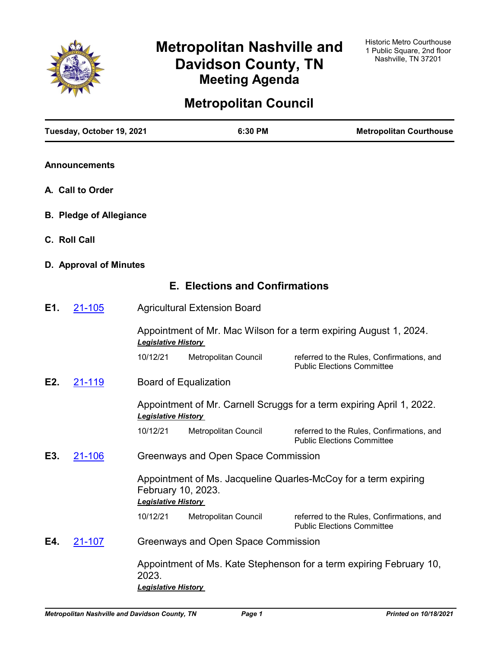

# **Metropolitan Nashville and Davidson County, TN Meeting Agenda**

## **Metropolitan Council**

|     | Tuesday, October 19, 2021      |                                     | 6:30 PM                               | <b>Metropolitan Courthouse</b>                                                 |
|-----|--------------------------------|-------------------------------------|---------------------------------------|--------------------------------------------------------------------------------|
|     | <b>Announcements</b>           |                                     |                                       |                                                                                |
|     | A. Call to Order               |                                     |                                       |                                                                                |
|     | <b>B. Pledge of Allegiance</b> |                                     |                                       |                                                                                |
|     | C. Roll Call                   |                                     |                                       |                                                                                |
|     | D. Approval of Minutes         |                                     |                                       |                                                                                |
|     |                                |                                     | <b>E. Elections and Confirmations</b> |                                                                                |
| E1. | 21-105                         |                                     | <b>Agricultural Extension Board</b>   |                                                                                |
|     |                                | <b>Legislative History</b>          |                                       | Appointment of Mr. Mac Wilson for a term expiring August 1, 2024.              |
|     |                                | 10/12/21                            | Metropolitan Council                  | referred to the Rules, Confirmations, and<br><b>Public Elections Committee</b> |
| E2. | 21-119                         |                                     | <b>Board of Equalization</b>          |                                                                                |
|     |                                | <b>Legislative History</b>          |                                       | Appointment of Mr. Carnell Scruggs for a term expiring April 1, 2022.          |
|     |                                | 10/12/21                            | Metropolitan Council                  | referred to the Rules, Confirmations, and<br><b>Public Elections Committee</b> |
| E3. | <u>21-106</u>                  |                                     | Greenways and Open Space Commission   |                                                                                |
|     |                                | <b>Legislative History</b>          | February 10, 2023.                    | Appointment of Ms. Jacqueline Quarles-McCoy for a term expiring                |
|     |                                | 10/12/21                            | Metropolitan Council                  | referred to the Rules, Confirmations, and<br><b>Public Elections Committee</b> |
| E4. | <u>21-107</u>                  |                                     | Greenways and Open Space Commission   |                                                                                |
|     |                                | 2023.<br><b>Legislative History</b> |                                       | Appointment of Ms. Kate Stephenson for a term expiring February 10,            |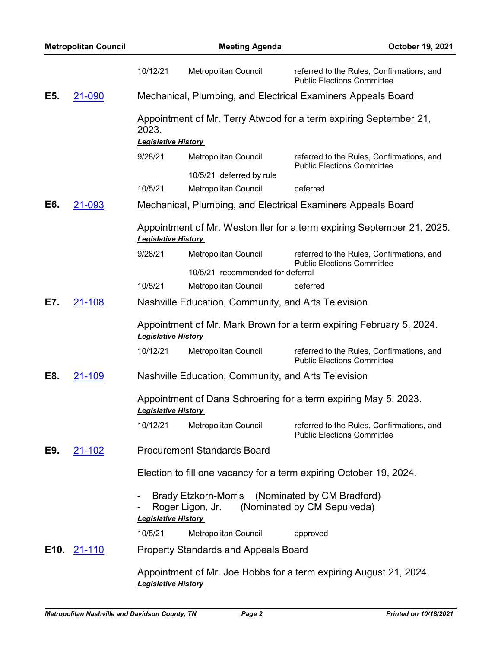|      | <b>Metropolitan Council</b>                                                                                        |                                                     | <b>Meeting Agenda</b>                                                                             | October 19, 2021                                                               |  |  |
|------|--------------------------------------------------------------------------------------------------------------------|-----------------------------------------------------|---------------------------------------------------------------------------------------------------|--------------------------------------------------------------------------------|--|--|
|      |                                                                                                                    | 10/12/21                                            | Metropolitan Council                                                                              | referred to the Rules, Confirmations, and<br><b>Public Elections Committee</b> |  |  |
| E5.  | 21-090                                                                                                             |                                                     |                                                                                                   | Mechanical, Plumbing, and Electrical Examiners Appeals Board                   |  |  |
|      |                                                                                                                    | 2023.                                               |                                                                                                   | Appointment of Mr. Terry Atwood for a term expiring September 21,              |  |  |
|      |                                                                                                                    | <b>Legislative History</b>                          |                                                                                                   |                                                                                |  |  |
|      |                                                                                                                    | 9/28/21                                             | Metropolitan Council                                                                              | referred to the Rules, Confirmations, and<br><b>Public Elections Committee</b> |  |  |
|      |                                                                                                                    |                                                     | 10/5/21 deferred by rule                                                                          |                                                                                |  |  |
|      |                                                                                                                    | 10/5/21                                             | Metropolitan Council                                                                              | deferred                                                                       |  |  |
| E6.  | 21-093                                                                                                             |                                                     |                                                                                                   | Mechanical, Plumbing, and Electrical Examiners Appeals Board                   |  |  |
|      |                                                                                                                    | <b>Legislative History</b>                          |                                                                                                   | Appointment of Mr. Weston Iler for a term expiring September 21, 2025.         |  |  |
|      |                                                                                                                    | 9/28/21                                             | Metropolitan Council                                                                              | referred to the Rules, Confirmations, and<br><b>Public Elections Committee</b> |  |  |
|      |                                                                                                                    |                                                     | 10/5/21 recommended for deferral                                                                  |                                                                                |  |  |
|      |                                                                                                                    | 10/5/21                                             | Metropolitan Council                                                                              | deferred                                                                       |  |  |
| E7.  | 21-108                                                                                                             | Nashville Education, Community, and Arts Television |                                                                                                   |                                                                                |  |  |
|      |                                                                                                                    |                                                     | Appointment of Mr. Mark Brown for a term expiring February 5, 2024.<br><b>Legislative History</b> |                                                                                |  |  |
|      |                                                                                                                    | 10/12/21                                            | Metropolitan Council                                                                              | referred to the Rules, Confirmations, and<br><b>Public Elections Committee</b> |  |  |
| E8.  | 21-109                                                                                                             | Nashville Education, Community, and Arts Television |                                                                                                   |                                                                                |  |  |
|      |                                                                                                                    | <b>Legislative History</b>                          | Appointment of Dana Schroering for a term expiring May 5, 2023.                                   |                                                                                |  |  |
|      |                                                                                                                    | 10/12/21                                            | Metropolitan Council                                                                              | referred to the Rules, Confirmations, and<br><b>Public Elections Committee</b> |  |  |
| E9.  | <b>Procurement Standards Board</b><br>21-102<br>Election to fill one vacancy for a term expiring October 19, 2024. |                                                     |                                                                                                   |                                                                                |  |  |
|      |                                                                                                                    |                                                     |                                                                                                   |                                                                                |  |  |
|      |                                                                                                                    | <b>Legislative History</b>                          | Brady Etzkorn-Morris (Nominated by CM Bradford)<br>Roger Ligon, Jr.                               | (Nominated by CM Sepulveda)                                                    |  |  |
|      |                                                                                                                    | 10/5/21                                             | Metropolitan Council                                                                              | approved                                                                       |  |  |
| E10. | <u>21-110</u>                                                                                                      |                                                     | <b>Property Standards and Appeals Board</b>                                                       |                                                                                |  |  |
|      |                                                                                                                    | <b>Legislative History</b>                          |                                                                                                   | Appointment of Mr. Joe Hobbs for a term expiring August 21, 2024.              |  |  |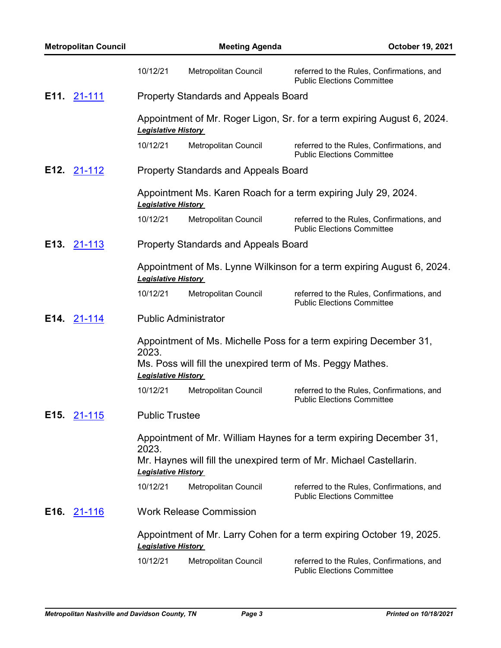|             | <b>Metropolitan Council</b> |                                                                            | <b>Meeting Agenda</b>                                                                                | October 19, 2021                                                               |  |  |
|-------------|-----------------------------|----------------------------------------------------------------------------|------------------------------------------------------------------------------------------------------|--------------------------------------------------------------------------------|--|--|
|             |                             | 10/12/21                                                                   | Metropolitan Council                                                                                 | referred to the Rules, Confirmations, and<br><b>Public Elections Committee</b> |  |  |
| E11. 21-111 |                             |                                                                            | <b>Property Standards and Appeals Board</b>                                                          |                                                                                |  |  |
|             |                             | <b>Legislative History</b>                                                 |                                                                                                      | Appointment of Mr. Roger Ligon, Sr. for a term expiring August 6, 2024.        |  |  |
|             |                             | 10/12/21                                                                   | Metropolitan Council                                                                                 | referred to the Rules, Confirmations, and<br><b>Public Elections Committee</b> |  |  |
| E12. 21-112 |                             |                                                                            | <b>Property Standards and Appeals Board</b>                                                          |                                                                                |  |  |
|             |                             |                                                                            | Appointment Ms. Karen Roach for a term expiring July 29, 2024.<br><b>Legislative History</b>         |                                                                                |  |  |
|             |                             | 10/12/21                                                                   | Metropolitan Council                                                                                 | referred to the Rules, Confirmations, and<br><b>Public Elections Committee</b> |  |  |
| E13.        | <u>21-113</u>               |                                                                            | <b>Property Standards and Appeals Board</b>                                                          |                                                                                |  |  |
|             |                             |                                                                            | Appointment of Ms. Lynne Wilkinson for a term expiring August 6, 2024.<br><b>Legislative History</b> |                                                                                |  |  |
|             |                             | 10/12/21                                                                   | Metropolitan Council                                                                                 | referred to the Rules, Confirmations, and<br><b>Public Elections Committee</b> |  |  |
| E14. 21-114 |                             |                                                                            | <b>Public Administrator</b>                                                                          |                                                                                |  |  |
|             |                             | Appointment of Ms. Michelle Poss for a term expiring December 31,<br>2023. |                                                                                                      |                                                                                |  |  |
|             |                             |                                                                            | Ms. Poss will fill the unexpired term of Ms. Peggy Mathes.<br><b>Legislative History</b>             |                                                                                |  |  |
|             |                             | 10/12/21                                                                   | Metropolitan Council                                                                                 | referred to the Rules, Confirmations, and<br><b>Public Elections Committee</b> |  |  |
| E15.        | <u>21-115</u>               | <b>Public Trustee</b>                                                      |                                                                                                      |                                                                                |  |  |
|             |                             | 2023.                                                                      | Appointment of Mr. William Haynes for a term expiring December 31,                                   |                                                                                |  |  |
|             |                             | <b>Legislative History</b>                                                 |                                                                                                      | Mr. Haynes will fill the unexpired term of Mr. Michael Castellarin.            |  |  |
|             |                             | 10/12/21                                                                   | Metropolitan Council                                                                                 | referred to the Rules, Confirmations, and<br><b>Public Elections Committee</b> |  |  |
| E16.        | <u>21-116</u>               |                                                                            | <b>Work Release Commission</b>                                                                       |                                                                                |  |  |
|             |                             | <b>Legislative History</b>                                                 |                                                                                                      | Appointment of Mr. Larry Cohen for a term expiring October 19, 2025.           |  |  |
|             |                             | 10/12/21                                                                   | Metropolitan Council                                                                                 | referred to the Rules, Confirmations, and<br><b>Public Elections Committee</b> |  |  |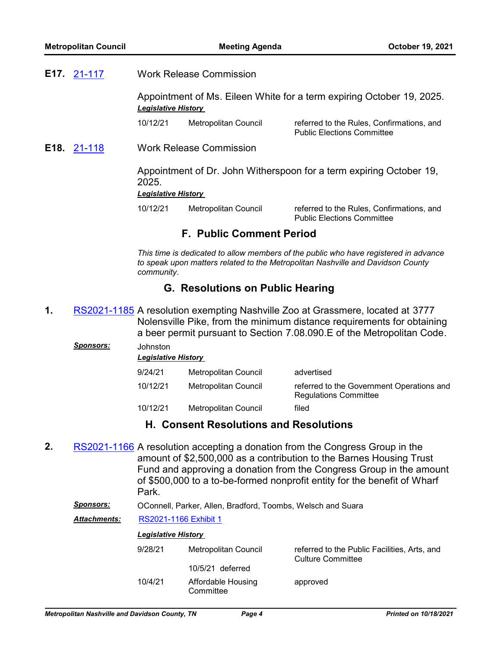Work Release Commission **E17.** [21-117](http://nashville.legistar.com/gateway.aspx?m=l&id=/matter.aspx?key=13716)

> Appointment of Ms. Eileen White for a term expiring October 19, 2025. *Legislative History*

10/12/21 Metropolitan Council referred to the Rules, Confirmations, and Public Elections Committee

Work Release Commission **E18.** [21-118](http://nashville.legistar.com/gateway.aspx?m=l&id=/matter.aspx?key=13717)

> Appointment of Dr. John Witherspoon for a term expiring October 19, 2025.

#### *Legislative History*

10/12/21 Metropolitan Council referred to the Rules, Confirmations, and

Public Elections Committee

### **F. Public Comment Period**

*This time is dedicated to allow members of the public who have registered in advance to speak upon matters related to the Metropolitan Nashville and Davidson County community.*

### **G. Resolutions on Public Hearing**

1. [RS2021-1185](http://nashville.legistar.com/gateway.aspx?m=l&id=/matter.aspx?key=13684) A resolution exempting Nashville Zoo at Grassmere, located at 3777 Nolensville Pike, from the minimum distance requirements for obtaining a beer permit pursuant to Section 7.08.090.E of the Metropolitan Code.

| <b>Sponsors:</b> | Johnston<br><b>Legislative History</b> |                      |                                                                           |  |  |
|------------------|----------------------------------------|----------------------|---------------------------------------------------------------------------|--|--|
|                  | 9/24/21                                | Metropolitan Council | advertised                                                                |  |  |
|                  | 10/12/21                               | Metropolitan Council | referred to the Government Operations and<br><b>Regulations Committee</b> |  |  |
|                  | 10/12/21                               | Metropolitan Council | filed                                                                     |  |  |

### **H. Consent Resolutions and Resolutions**

**2.** [RS2021-1166](http://nashville.legistar.com/gateway.aspx?m=l&id=/matter.aspx?key=13606) A resolution accepting a donation from the Congress Group in the amount of \$2,500,000 as a contribution to the Barnes Housing Trust Fund and approving a donation from the Congress Group in the amount of \$500,000 to a to-be-formed nonprofit entity for the benefit of Wharf Park.

#### *Sponsors:* OConnell, Parker, Allen, Bradford, Toombs, Welsch and Suara

*Attachments:* [RS2021-1166 Exhibit 1](http://nashville.legistar.com/gateway.aspx?M=F&ID=3d8de910-513d-4213-b39b-d8ba9bd828c4.PDF)

| <b>Legislative History</b> |                                 |                                                                          |
|----------------------------|---------------------------------|--------------------------------------------------------------------------|
| 9/28/21                    | Metropolitan Council            | referred to the Public Facilities, Arts, and<br><b>Culture Committee</b> |
|                            | 10/5/21 deferred                |                                                                          |
| 10/4/21                    | Affordable Housing<br>Committee | approved                                                                 |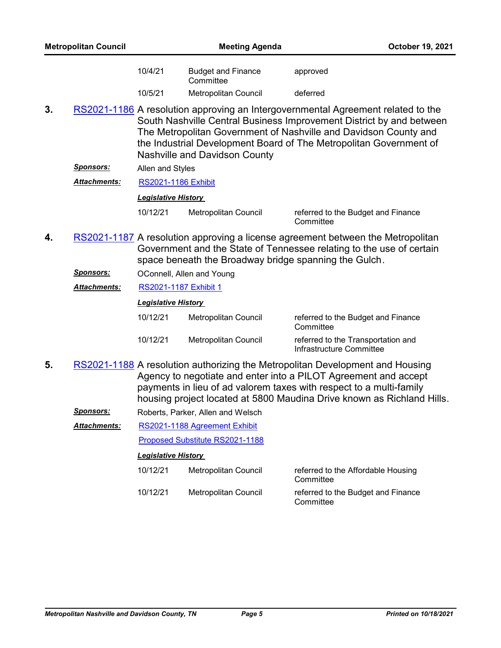| <b>Metropolitan Council</b> |                      | <b>Meeting Agenda</b>                                                                                                                                                                                                                                                                                                                      |                                        | October 19, 2021                                               |  |
|-----------------------------|----------------------|--------------------------------------------------------------------------------------------------------------------------------------------------------------------------------------------------------------------------------------------------------------------------------------------------------------------------------------------|----------------------------------------|----------------------------------------------------------------|--|
|                             |                      | 10/4/21                                                                                                                                                                                                                                                                                                                                    | <b>Budget and Finance</b><br>Committee | approved                                                       |  |
|                             |                      | 10/5/21                                                                                                                                                                                                                                                                                                                                    | Metropolitan Council                   | deferred                                                       |  |
| 3.                          |                      | RS2021-1186 A resolution approving an Intergovernmental Agreement related to the<br>South Nashville Central Business Improvement District by and between<br>The Metropolitan Government of Nashville and Davidson County and<br>the Industrial Development Board of The Metropolitan Government of<br><b>Nashville and Davidson County</b> |                                        |                                                                |  |
|                             | <u>Sponsors:</u>     | Allen and Styles                                                                                                                                                                                                                                                                                                                           |                                        |                                                                |  |
|                             | <u> Attachments:</u> | <b>RS2021-1186 Exhibit</b>                                                                                                                                                                                                                                                                                                                 |                                        |                                                                |  |
|                             |                      | <b>Legislative History</b>                                                                                                                                                                                                                                                                                                                 |                                        |                                                                |  |
|                             |                      | 10/12/21                                                                                                                                                                                                                                                                                                                                   | Metropolitan Council                   | referred to the Budget and Finance<br>Committee                |  |
| 4.                          |                      | RS2021-1187 A resolution approving a license agreement between the Metropolitan<br>Government and the State of Tennessee relating to the use of certain<br>space beneath the Broadway bridge spanning the Gulch.                                                                                                                           |                                        |                                                                |  |
|                             | <u> Sponsors:</u>    |                                                                                                                                                                                                                                                                                                                                            | OConnell, Allen and Young              |                                                                |  |
|                             | <u> Attachments:</u> | RS2021-1187 Exhibit 1                                                                                                                                                                                                                                                                                                                      |                                        |                                                                |  |
|                             |                      | <b>Legislative History</b>                                                                                                                                                                                                                                                                                                                 |                                        |                                                                |  |
|                             |                      | 10/12/21                                                                                                                                                                                                                                                                                                                                   | Metropolitan Council                   | referred to the Budget and Finance<br>Committee                |  |
|                             |                      | 10/12/21                                                                                                                                                                                                                                                                                                                                   | Metropolitan Council                   | referred to the Transportation and<br>Infrastructure Committee |  |
| 5.                          |                      | RS2021-1188 A resolution authorizing the Metropolitan Development and Housing<br>Agency to negotiate and enter into a PILOT Agreement and accept<br>payments in lieu of ad valorem taxes with respect to a multi-family<br>housing project located at 5800 Maudina Drive known as Richland Hills.                                          |                                        |                                                                |  |
|                             | <b>Sponsors:</b>     |                                                                                                                                                                                                                                                                                                                                            | Roberts, Parker, Allen and Welsch      |                                                                |  |
|                             | Attachments:         |                                                                                                                                                                                                                                                                                                                                            | RS2021-1188 Agreement Exhibit          |                                                                |  |
|                             |                      |                                                                                                                                                                                                                                                                                                                                            | Proposed Substitute RS2021-1188        |                                                                |  |
|                             |                      | <b>Legislative History</b>                                                                                                                                                                                                                                                                                                                 |                                        |                                                                |  |

| 10/12/21 | <b>Metropolitan Council</b> | referred to the Affordable Housing<br>Committee |
|----------|-----------------------------|-------------------------------------------------|
| 10/12/21 | Metropolitan Council        | referred to the Budget and Finance<br>Committee |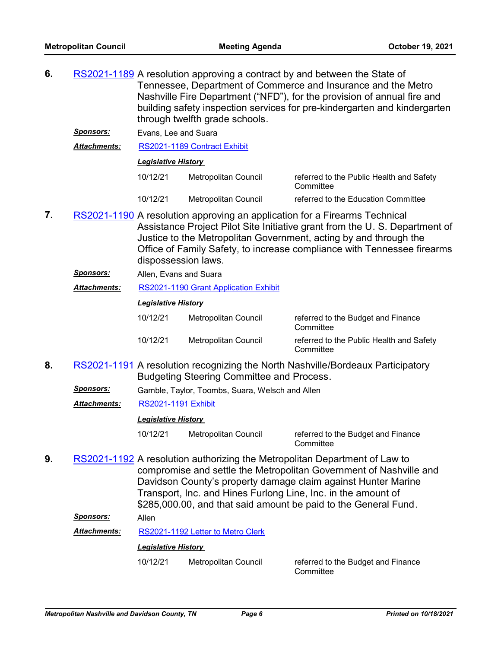- **6.** [RS2021-1189](http://nashville.legistar.com/gateway.aspx?m=l&id=/matter.aspx?key=13700) A resolution approving a contract by and between the State of Tennessee, Department of Commerce and Insurance and the Metro Nashville Fire Department ("NFD"), for the provision of annual fire and building safety inspection services for pre-kindergarten and kindergarten through twelfth grade schools.
	- *Sponsors:* Evans, Lee and Suara

*Attachments:* [RS2021-1189 Contract Exhibit](http://nashville.legistar.com/gateway.aspx?M=F&ID=fcdfc5ec-79f3-4c25-918b-dfd24ede1e61.PDF)

#### *Legislative History*

| 10/12/21 | Metropolitan Council | referred to the Public Health and Safety<br>Committee |
|----------|----------------------|-------------------------------------------------------|
| 10/12/21 | Metropolitan Council | referred to the Education Committee                   |

- 7. [RS2021-1190](http://nashville.legistar.com/gateway.aspx?m=l&id=/matter.aspx?key=13691) A resolution approving an application for a Firearms Technical Assistance Project Pilot Site Initiative grant from the U. S. Department of Justice to the Metropolitan Government, acting by and through the Office of Family Safety, to increase compliance with Tennessee firearms dispossession laws.
	- *Sponsors:* Allen, Evans and Suara

*Attachments:* [RS2021-1190 Grant Application Exhibit](http://nashville.legistar.com/gateway.aspx?M=F&ID=5c61a8cd-5b08-41e3-a7fe-4dff04dd503d.pdf)

#### *Legislative History*

| 10/12/21 | Metropolitan Council | referred to the Budget and Finance<br>Committee       |
|----------|----------------------|-------------------------------------------------------|
| 10/12/21 | Metropolitan Council | referred to the Public Health and Safety<br>Committee |

- 8. [RS2021-1191](http://nashville.legistar.com/gateway.aspx?m=l&id=/matter.aspx?key=13701) A resolution recognizing the North Nashville/Bordeaux Participatory Budgeting Steering Committee and Process.
	- *Sponsors:* Gamble, Taylor, Toombs, Suara, Welsch and Allen

*Attachments:* [RS2021-1191 Exhibit](http://nashville.legistar.com/gateway.aspx?M=F&ID=76e252e3-affc-472a-bd94-8da55126a136.PDF)

#### *Legislative History*

10/12/21 Metropolitan Council referred to the Budget and Finance **Committee** 

**9.** [RS2021-1192](http://nashville.legistar.com/gateway.aspx?m=l&id=/matter.aspx?key=13690) A resolution authorizing the Metropolitan Department of Law to compromise and settle the Metropolitan Government of Nashville and Davidson County's property damage claim against Hunter Marine Transport, Inc. and Hines Furlong Line, Inc. in the amount of \$285,000.00, and that said amount be paid to the General Fund.

*Sponsors:* Allen

*Attachments:* [RS2021-1192 Letter to Metro Clerk](http://nashville.legistar.com/gateway.aspx?M=F&ID=cc1cf9cf-782f-435c-8886-34c3dbc4fc4f.PDF)

#### *Legislative History*

10/12/21 Metropolitan Council referred to the Budget and Finance

**Committee**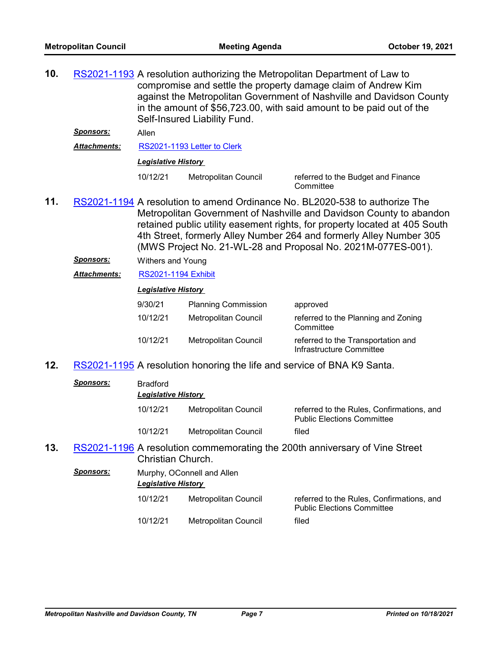**10.** [RS2021-1193](http://nashville.legistar.com/gateway.aspx?m=l&id=/matter.aspx?key=13692) A resolution authorizing the Metropolitan Department of Law to compromise and settle the property damage claim of Andrew Kim against the Metropolitan Government of Nashville and Davidson County in the amount of \$56,723.00, with said amount to be paid out of the Self-Insured Liability Fund.

*Sponsors:* Allen

*Attachments:* [RS2021-1193 Letter to Clerk](http://nashville.legistar.com/gateway.aspx?M=F&ID=616f2d04-a040-4c14-b51b-06c6504363c4.PDF)

*Legislative History* 

10/12/21 Metropolitan Council referred to the Budget and Finance

**Committee** 

- 11. [RS2021-1194](http://nashville.legistar.com/gateway.aspx?m=l&id=/matter.aspx?key=13696) A resolution to amend Ordinance No. BL2020-538 to authorize The Metropolitan Government of Nashville and Davidson County to abandon retained public utility easement rights, for property located at 405 South 4th Street, formerly Alley Number 264 and formerly Alley Number 305 (MWS Project No. 21-WL-28 and Proposal No. 2021M-077ES-001).
	- *Sponsors:* Withers and Young
	- *Attachments:* [RS2021-1194 Exhibit](http://nashville.legistar.com/gateway.aspx?M=F&ID=cab2bb09-ad35-4f97-9b29-b70e8dc2e73f.pdf)

#### *Legislative History*

| 9/30/21  | <b>Planning Commission</b> | approved                                                       |
|----------|----------------------------|----------------------------------------------------------------|
| 10/12/21 | Metropolitan Council       | referred to the Planning and Zoning<br>Committee               |
| 10/12/21 | Metropolitan Council       | referred to the Transportation and<br>Infrastructure Committee |

**12.** [RS2021-1195](http://nashville.legistar.com/gateway.aspx?m=l&id=/matter.aspx?key=13694) A resolution honoring the life and service of BNA K9 Santa.

|     | Sponsors:        | <b>Bradford</b><br><b>Legislative History</b>                                                    |                            |                                                                                |  |
|-----|------------------|--------------------------------------------------------------------------------------------------|----------------------------|--------------------------------------------------------------------------------|--|
|     |                  | 10/12/21                                                                                         | Metropolitan Council       | referred to the Rules, Confirmations, and<br><b>Public Elections Committee</b> |  |
|     |                  | 10/12/21                                                                                         | Metropolitan Council       | filed                                                                          |  |
| 13. |                  | RS2021-1196 A resolution commemorating the 200th anniversary of Vine Street<br>Christian Church. |                            |                                                                                |  |
|     | <b>Sponsors:</b> | <b>Legislative History</b>                                                                       | Murphy, OConnell and Allen |                                                                                |  |
|     |                  | 10/12/21                                                                                         | Metropolitan Council       | referred to the Rules, Confirmations, and<br><b>Public Elections Committee</b> |  |
|     |                  | 10/12/21                                                                                         | Metropolitan Council       | filed                                                                          |  |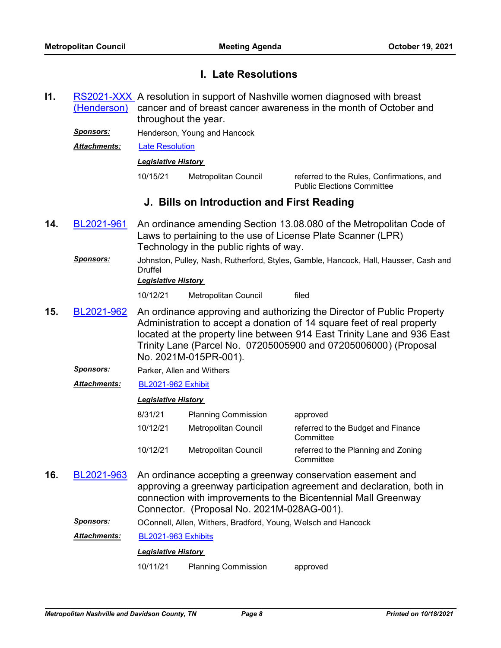### **I. Late Resolutions**

[RS2021-XXX](http://nashville.legistar.com/gateway.aspx?m=l&id=/matter.aspx?key=13721) A resolution in support of Nashville women diagnosed with breast cancer and of breast cancer awareness in the month of October and throughout the year. (Henderson) **I1.**

**Sponsors:** Henderson, Young and Hancock

*Attachments:* [Late Resolution](http://nashville.legistar.com/gateway.aspx?M=F&ID=b8d1711f-949e-4767-91bd-bdb0a738d9de.docx)

#### *Legislative History*

10/15/21 Metropolitan Council referred to the Rules, Confirmations, and Public Elections Committee

### **J. Bills on Introduction and First Reading**

- An ordinance amending Section 13.08.080 of the Metropolitan Code of Laws to pertaining to the use of License Plate Scanner (LPR) Technology in the public rights of way. **14.** [BL2021-961](http://nashville.legistar.com/gateway.aspx?m=l&id=/matter.aspx?key=13719)
	- *Sponsors:* Johnston, Pulley, Nash, Rutherford, Styles, Gamble, Hancock, Hall, Hausser, Cash and Druffel

#### *Legislative History*

10/12/21 Metropolitan Council filed

- An ordinance approving and authorizing the Director of Public Property Administration to accept a donation of 14 square feet of real property located at the property line between 914 East Trinity Lane and 936 East Trinity Lane (Parcel No. 07205005900 and 07205006000) (Proposal No. 2021M-015PR-001). **15.** [BL2021-962](http://nashville.legistar.com/gateway.aspx?m=l&id=/matter.aspx?key=13685)
	- *Sponsors:* Parker, Allen and Withers
	- *Attachments:* [BL2021-962 Exhibit](http://nashville.legistar.com/gateway.aspx?M=F&ID=c0229643-e857-475c-a0cd-9f335de89747.pdf)

### *Legislative History*

| 8/31/21  | <b>Planning Commission</b> | approved                                         |
|----------|----------------------------|--------------------------------------------------|
| 10/12/21 | Metropolitan Council       | referred to the Budget and Finance<br>Committee  |
| 10/12/21 | Metropolitan Council       | referred to the Planning and Zoning<br>Committee |

An ordinance accepting a greenway conservation easement and approving a greenway participation agreement and declaration, both in connection with improvements to the Bicentennial Mall Greenway Connector. (Proposal No. 2021M-028AG-001). **16.** [BL2021-963](http://nashville.legistar.com/gateway.aspx?m=l&id=/matter.aspx?key=13693)

*Sponsors:* OConnell, Allen, Withers, Bradford, Young, Welsch and Hancock

*Attachments:* [BL2021-963 Exhibits](http://nashville.legistar.com/gateway.aspx?M=F&ID=d736d064-7dd2-4dfb-a976-fe11704da051.pdf)

#### *Legislative History*

10/11/21 Planning Commission approved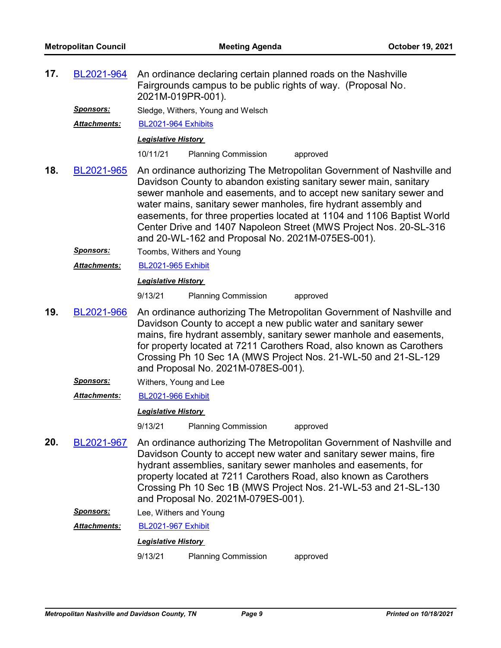| 17. | BL2021-964                                                                                                                                                                                                                                                                                                                                                                                                    | An ordinance declaring certain planned roads on the Nashville<br>Fairgrounds campus to be public rights of way. (Proposal No.<br>2021M-019PR-001).                                                                                                                                                                                                                                                                                                                                    |  |  |
|-----|---------------------------------------------------------------------------------------------------------------------------------------------------------------------------------------------------------------------------------------------------------------------------------------------------------------------------------------------------------------------------------------------------------------|---------------------------------------------------------------------------------------------------------------------------------------------------------------------------------------------------------------------------------------------------------------------------------------------------------------------------------------------------------------------------------------------------------------------------------------------------------------------------------------|--|--|
|     | Sponsors:                                                                                                                                                                                                                                                                                                                                                                                                     | Sledge, Withers, Young and Welsch                                                                                                                                                                                                                                                                                                                                                                                                                                                     |  |  |
|     | Attachments:                                                                                                                                                                                                                                                                                                                                                                                                  | BL2021-964 Exhibits                                                                                                                                                                                                                                                                                                                                                                                                                                                                   |  |  |
|     |                                                                                                                                                                                                                                                                                                                                                                                                               | <b>Legislative History</b>                                                                                                                                                                                                                                                                                                                                                                                                                                                            |  |  |
|     |                                                                                                                                                                                                                                                                                                                                                                                                               | 10/11/21<br><b>Planning Commission</b><br>approved                                                                                                                                                                                                                                                                                                                                                                                                                                    |  |  |
| 18. | BL2021-965                                                                                                                                                                                                                                                                                                                                                                                                    | An ordinance authorizing The Metropolitan Government of Nashville and<br>Davidson County to abandon existing sanitary sewer main, sanitary<br>sewer manhole and easements, and to accept new sanitary sewer and<br>water mains, sanitary sewer manholes, fire hydrant assembly and<br>easements, for three properties located at 1104 and 1106 Baptist World<br>Center Drive and 1407 Napoleon Street (MWS Project Nos. 20-SL-316<br>and 20-WL-162 and Proposal No. 2021M-075ES-001). |  |  |
|     | <u>Sponsors:</u>                                                                                                                                                                                                                                                                                                                                                                                              | Toombs, Withers and Young                                                                                                                                                                                                                                                                                                                                                                                                                                                             |  |  |
|     | <b>Attachments:</b>                                                                                                                                                                                                                                                                                                                                                                                           | <b>BL2021-965 Exhibit</b>                                                                                                                                                                                                                                                                                                                                                                                                                                                             |  |  |
|     |                                                                                                                                                                                                                                                                                                                                                                                                               | <b>Legislative History</b>                                                                                                                                                                                                                                                                                                                                                                                                                                                            |  |  |
|     |                                                                                                                                                                                                                                                                                                                                                                                                               | 9/13/21<br><b>Planning Commission</b><br>approved                                                                                                                                                                                                                                                                                                                                                                                                                                     |  |  |
| 19. | An ordinance authorizing The Metropolitan Government of Nashville and<br>BL2021-966<br>Davidson County to accept a new public water and sanitary sewer<br>mains, fire hydrant assembly, sanitary sewer manhole and easements,<br>for property located at 7211 Carothers Road, also known as Carothers<br>Crossing Ph 10 Sec 1A (MWS Project Nos. 21-WL-50 and 21-SL-129<br>and Proposal No. 2021M-078ES-001). |                                                                                                                                                                                                                                                                                                                                                                                                                                                                                       |  |  |
|     | <u>Sponsors:</u>                                                                                                                                                                                                                                                                                                                                                                                              | Withers, Young and Lee                                                                                                                                                                                                                                                                                                                                                                                                                                                                |  |  |
|     | <b>Attachments:</b>                                                                                                                                                                                                                                                                                                                                                                                           | <b>BL2021-966 Exhibit</b>                                                                                                                                                                                                                                                                                                                                                                                                                                                             |  |  |
|     |                                                                                                                                                                                                                                                                                                                                                                                                               | <b>Legislative History</b>                                                                                                                                                                                                                                                                                                                                                                                                                                                            |  |  |
|     |                                                                                                                                                                                                                                                                                                                                                                                                               | 9/13/21<br><b>Planning Commission</b><br>approved                                                                                                                                                                                                                                                                                                                                                                                                                                     |  |  |
| 20. | BL2021-967                                                                                                                                                                                                                                                                                                                                                                                                    | An ordinance authorizing The Metropolitan Government of Nashville and<br>Davidson County to accept new water and sanitary sewer mains, fire<br>hydrant assemblies, sanitary sewer manholes and easements, for<br>property located at 7211 Carothers Road, also known as Carothers<br>Crossing Ph 10 Sec 1B (MWS Project Nos. 21-WL-53 and 21-SL-130<br>and Proposal No. 2021M-079ES-001).                                                                                             |  |  |
|     | <b>Sponsors:</b>                                                                                                                                                                                                                                                                                                                                                                                              | Lee, Withers and Young                                                                                                                                                                                                                                                                                                                                                                                                                                                                |  |  |
|     | Attachments:                                                                                                                                                                                                                                                                                                                                                                                                  | <b>BL2021-967 Exhibit</b>                                                                                                                                                                                                                                                                                                                                                                                                                                                             |  |  |
|     |                                                                                                                                                                                                                                                                                                                                                                                                               | <b>Legislative History</b>                                                                                                                                                                                                                                                                                                                                                                                                                                                            |  |  |

9/13/21 Planning Commission approved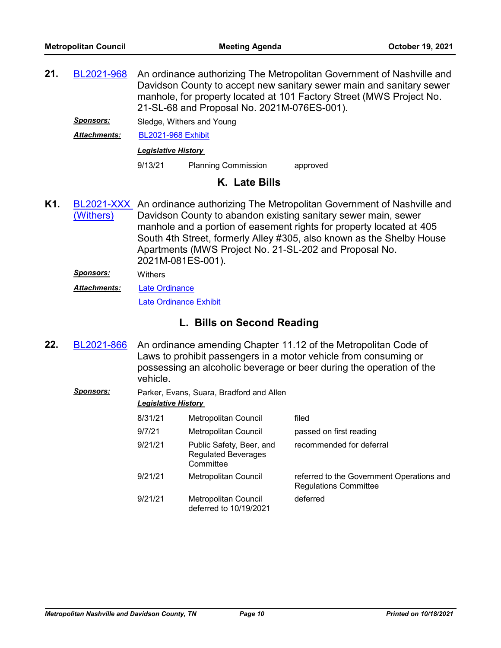An ordinance authorizing The Metropolitan Government of Nashville and Davidson County to accept new sanitary sewer main and sanitary sewer manhole, for property located at 101 Factory Street (MWS Project No. 21-SL-68 and Proposal No. 2021M-076ES-001). **21.** [BL2021-968](http://nashville.legistar.com/gateway.aspx?m=l&id=/matter.aspx?key=13689)

*Sponsors:* Sledge, Withers and Young

*Attachments:* [BL2021-968 Exhibit](http://nashville.legistar.com/gateway.aspx?M=F&ID=4db2bd23-ff8c-4f36-a147-238327c1d902.pdf)

#### *Legislative History*

9/13/21 Planning Commission approved

### **K. Late Bills**

- [BL2021-XXX](http://nashville.legistar.com/gateway.aspx?m=l&id=/matter.aspx?key=13722) An ordinance authorizing The Metropolitan Government of Nashville and Davidson County to abandon existing sanitary sewer main, sewer manhole and a portion of easement rights for property located at 405 South 4th Street, formerly Alley #305, also known as the Shelby House Apartments (MWS Project No. 21-SL-202 and Proposal No. 2021M-081ES-001). (Withers) **K1.**
	- *Sponsors:* Withers
	- [Late Ordinance](http://nashville.legistar.com/gateway.aspx?M=F&ID=7bc3f2d5-a53d-4d26-9cff-e15ee141a444.pdf) *Attachments:*

[Late Ordinance Exhibit](http://nashville.legistar.com/gateway.aspx?M=F&ID=db0cf48e-e644-4171-a428-a95e7c4a18f1.pdf)

## **L. Bills on Second Reading**

- An ordinance amending Chapter 11.12 of the Metropolitan Code of Laws to prohibit passengers in a motor vehicle from consuming or possessing an alcoholic beverage or beer during the operation of the vehicle. **22.** [BL2021-866](http://nashville.legistar.com/gateway.aspx?m=l&id=/matter.aspx?key=13537)
	- *Sponsors:* Parker, Evans, Suara, Bradford and Allen *Legislative History*

| 8/31/21 | <b>Metropolitan Council</b>                                         | filed                                                                     |
|---------|---------------------------------------------------------------------|---------------------------------------------------------------------------|
| 9/7/21  | Metropolitan Council                                                | passed on first reading                                                   |
| 9/21/21 | Public Safety, Beer, and<br><b>Regulated Beverages</b><br>Committee | recommended for deferral                                                  |
| 9/21/21 | <b>Metropolitan Council</b>                                         | referred to the Government Operations and<br><b>Regulations Committee</b> |
| 9/21/21 | <b>Metropolitan Council</b><br>deferred to 10/19/2021               | deferred                                                                  |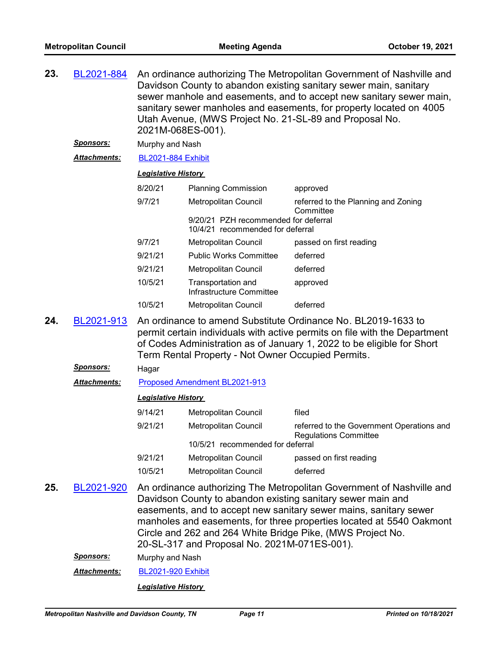| 23. | BL2021-884           | An ordinance authorizing The Metropolitan Government of Nashville and<br>Davidson County to abandon existing sanitary sewer main, sanitary<br>sewer manhole and easements, and to accept new sanitary sewer main,<br>sanitary sewer manholes and easements, for property located on 4005<br>Utah Avenue, (MWS Project No. 21-SL-89 and Proposal No.<br>2021M-068ES-001). |                                                                                                                                                                                                                                                                                                                                                                                                 |                                                                    |  |  |
|-----|----------------------|--------------------------------------------------------------------------------------------------------------------------------------------------------------------------------------------------------------------------------------------------------------------------------------------------------------------------------------------------------------------------|-------------------------------------------------------------------------------------------------------------------------------------------------------------------------------------------------------------------------------------------------------------------------------------------------------------------------------------------------------------------------------------------------|--------------------------------------------------------------------|--|--|
|     | <u>Sponsors:</u>     | Murphy and Nash                                                                                                                                                                                                                                                                                                                                                          |                                                                                                                                                                                                                                                                                                                                                                                                 |                                                                    |  |  |
|     | Attachments:         |                                                                                                                                                                                                                                                                                                                                                                          | <b>BL2021-884 Exhibit</b><br><b>Legislative History</b>                                                                                                                                                                                                                                                                                                                                         |                                                                    |  |  |
|     |                      |                                                                                                                                                                                                                                                                                                                                                                          |                                                                                                                                                                                                                                                                                                                                                                                                 |                                                                    |  |  |
|     |                      | 8/20/21                                                                                                                                                                                                                                                                                                                                                                  | <b>Planning Commission</b>                                                                                                                                                                                                                                                                                                                                                                      | approved                                                           |  |  |
|     |                      | 9/7/21                                                                                                                                                                                                                                                                                                                                                                   | Metropolitan Council                                                                                                                                                                                                                                                                                                                                                                            | referred to the Planning and Zoning<br>Committee                   |  |  |
|     |                      |                                                                                                                                                                                                                                                                                                                                                                          | 9/20/21 PZH recommended for deferral<br>10/4/21 recommended for deferral                                                                                                                                                                                                                                                                                                                        |                                                                    |  |  |
|     |                      | 9/7/21                                                                                                                                                                                                                                                                                                                                                                   | <b>Metropolitan Council</b>                                                                                                                                                                                                                                                                                                                                                                     | passed on first reading                                            |  |  |
|     |                      | 9/21/21                                                                                                                                                                                                                                                                                                                                                                  | <b>Public Works Committee</b>                                                                                                                                                                                                                                                                                                                                                                   | deferred                                                           |  |  |
|     |                      | 9/21/21                                                                                                                                                                                                                                                                                                                                                                  | Metropolitan Council                                                                                                                                                                                                                                                                                                                                                                            | deferred                                                           |  |  |
|     |                      | 10/5/21                                                                                                                                                                                                                                                                                                                                                                  | Transportation and<br>Infrastructure Committee                                                                                                                                                                                                                                                                                                                                                  | approved                                                           |  |  |
|     |                      | 10/5/21                                                                                                                                                                                                                                                                                                                                                                  | Metropolitan Council                                                                                                                                                                                                                                                                                                                                                                            | deferred                                                           |  |  |
| 24. | BL2021-913           |                                                                                                                                                                                                                                                                                                                                                                          | An ordinance to amend Substitute Ordinance No. BL2019-1633 to<br>permit certain individuals with active permits on file with the Department<br>of Codes Administration as of January 1, 2022 to be eligible for Short<br>Term Rental Property - Not Owner Occupied Permits.                                                                                                                     |                                                                    |  |  |
|     | <u>Sponsors:</u>     | Hagar                                                                                                                                                                                                                                                                                                                                                                    |                                                                                                                                                                                                                                                                                                                                                                                                 |                                                                    |  |  |
|     | Attachments:         |                                                                                                                                                                                                                                                                                                                                                                          | Proposed Amendment BL2021-913                                                                                                                                                                                                                                                                                                                                                                   |                                                                    |  |  |
|     |                      | <b>Legislative History</b>                                                                                                                                                                                                                                                                                                                                               |                                                                                                                                                                                                                                                                                                                                                                                                 |                                                                    |  |  |
|     |                      | 9/14/21                                                                                                                                                                                                                                                                                                                                                                  | Metropolitan Council                                                                                                                                                                                                                                                                                                                                                                            | filed                                                              |  |  |
|     |                      | 9/21/21                                                                                                                                                                                                                                                                                                                                                                  | <b>Metropolitan Council</b>                                                                                                                                                                                                                                                                                                                                                                     | referred to the Government Operations and<br>Regulations Committee |  |  |
|     |                      |                                                                                                                                                                                                                                                                                                                                                                          | 10/5/21 recommended for deferral                                                                                                                                                                                                                                                                                                                                                                |                                                                    |  |  |
|     |                      | 9/21/21                                                                                                                                                                                                                                                                                                                                                                  | Metropolitan Council                                                                                                                                                                                                                                                                                                                                                                            | passed on first reading                                            |  |  |
|     |                      | 10/5/21                                                                                                                                                                                                                                                                                                                                                                  | Metropolitan Council                                                                                                                                                                                                                                                                                                                                                                            | deferred                                                           |  |  |
| 25. | BL2021-920           |                                                                                                                                                                                                                                                                                                                                                                          | An ordinance authorizing The Metropolitan Government of Nashville and<br>Davidson County to abandon existing sanitary sewer main and<br>easements, and to accept new sanitary sewer mains, sanitary sewer<br>manholes and easements, for three properties located at 5540 Oakmont<br>Circle and 262 and 264 White Bridge Pike, (MWS Project No.<br>20-SL-317 and Proposal No. 2021M-071ES-001). |                                                                    |  |  |
|     | <u>Sponsors:</u>     | Murphy and Nash                                                                                                                                                                                                                                                                                                                                                          |                                                                                                                                                                                                                                                                                                                                                                                                 |                                                                    |  |  |
|     | <u> Attachments:</u> | <b>BL2021-920 Exhibit</b>                                                                                                                                                                                                                                                                                                                                                |                                                                                                                                                                                                                                                                                                                                                                                                 |                                                                    |  |  |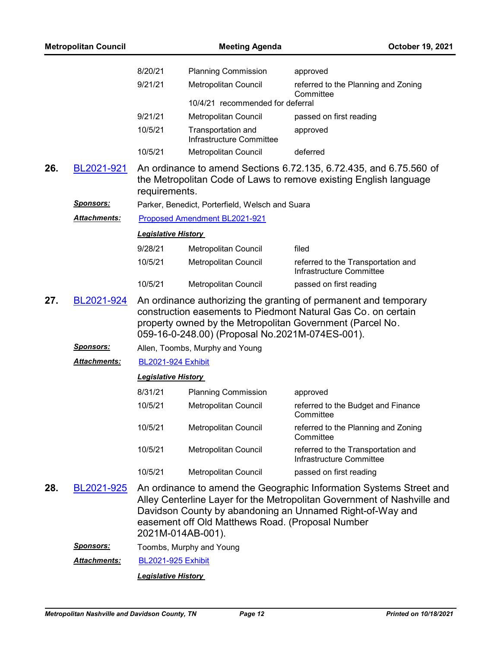| <b>Metropolitan Council</b> |                      |                            | <b>Meeting Agenda</b>                                                 | October 19, 2021                                                                                                                                                                                            |
|-----------------------------|----------------------|----------------------------|-----------------------------------------------------------------------|-------------------------------------------------------------------------------------------------------------------------------------------------------------------------------------------------------------|
|                             |                      | 8/20/21                    | <b>Planning Commission</b>                                            | approved                                                                                                                                                                                                    |
|                             |                      | 9/21/21                    | Metropolitan Council                                                  | referred to the Planning and Zoning                                                                                                                                                                         |
|                             |                      |                            | 10/4/21 recommended for deferral                                      | Committee                                                                                                                                                                                                   |
|                             |                      | 9/21/21                    | Metropolitan Council                                                  | passed on first reading                                                                                                                                                                                     |
|                             |                      | 10/5/21                    | Transportation and<br>Infrastructure Committee                        | approved                                                                                                                                                                                                    |
|                             |                      | 10/5/21                    | Metropolitan Council                                                  | deferred                                                                                                                                                                                                    |
| 26.                         | BL2021-921           | requirements.              |                                                                       | An ordinance to amend Sections 6.72.135, 6.72.435, and 6.75.560 of<br>the Metropolitan Code of Laws to remove existing English language                                                                     |
|                             | <u>Sponsors:</u>     |                            | Parker, Benedict, Porterfield, Welsch and Suara                       |                                                                                                                                                                                                             |
|                             | Attachments:         |                            | Proposed Amendment BL2021-921                                         |                                                                                                                                                                                                             |
|                             |                      | <b>Legislative History</b> |                                                                       |                                                                                                                                                                                                             |
|                             |                      | 9/28/21                    | Metropolitan Council                                                  | filed                                                                                                                                                                                                       |
|                             |                      | 10/5/21                    | Metropolitan Council                                                  | referred to the Transportation and<br>Infrastructure Committee                                                                                                                                              |
|                             |                      | 10/5/21                    | Metropolitan Council                                                  | passed on first reading                                                                                                                                                                                     |
| 27.                         | BL2021-924           |                            | 059-16-0-248.00) (Proposal No.2021M-074ES-001).                       | An ordinance authorizing the granting of permanent and temporary<br>construction easements to Piedmont Natural Gas Co. on certain<br>property owned by the Metropolitan Government (Parcel No.              |
|                             | <b>Sponsors:</b>     |                            | Allen, Toombs, Murphy and Young                                       |                                                                                                                                                                                                             |
|                             | Attachments:         | <b>BL2021-924 Exhibit</b>  |                                                                       |                                                                                                                                                                                                             |
|                             |                      | <b>Legislative History</b> |                                                                       |                                                                                                                                                                                                             |
|                             |                      | 8/31/21                    | <b>Planning Commission</b>                                            | approved                                                                                                                                                                                                    |
|                             |                      | 10/5/21                    | Metropolitan Council                                                  | referred to the Budget and Finance<br>Committee                                                                                                                                                             |
|                             |                      | 10/5/21                    | Metropolitan Council                                                  | referred to the Planning and Zoning<br>Committee                                                                                                                                                            |
|                             |                      | 10/5/21                    | Metropolitan Council                                                  | referred to the Transportation and<br>Infrastructure Committee                                                                                                                                              |
|                             |                      | 10/5/21                    | Metropolitan Council                                                  | passed on first reading                                                                                                                                                                                     |
| 28.                         | BL2021-925           |                            | easement off Old Matthews Road. (Proposal Number<br>2021M-014AB-001). | An ordinance to amend the Geographic Information Systems Street and<br>Alley Centerline Layer for the Metropolitan Government of Nashville and<br>Davidson County by abandoning an Unnamed Right-of-Way and |
|                             | <u>Sponsors:</u>     |                            | Toombs, Murphy and Young                                              |                                                                                                                                                                                                             |
|                             | <u> Attachments:</u> | <b>BL2021-925 Exhibit</b>  |                                                                       |                                                                                                                                                                                                             |
|                             |                      | <b>Legislative History</b> |                                                                       |                                                                                                                                                                                                             |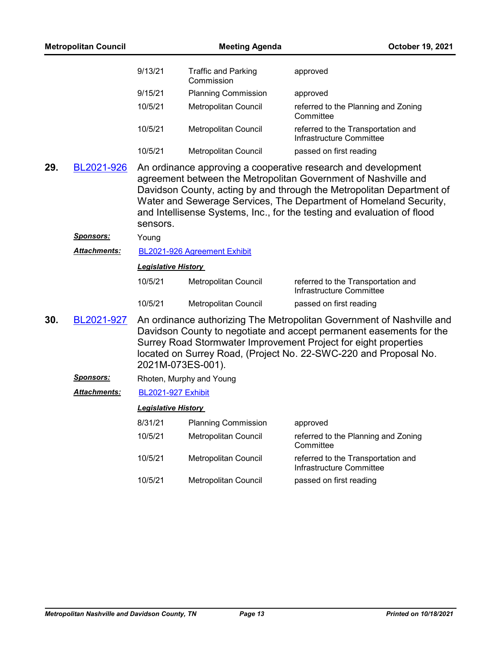| <b>Metropolitan Council</b> |                     |                            | <b>Meeting Agenda</b>                    | October 19, 2021                                                                                                                                                                                                                                                                                                                                         |
|-----------------------------|---------------------|----------------------------|------------------------------------------|----------------------------------------------------------------------------------------------------------------------------------------------------------------------------------------------------------------------------------------------------------------------------------------------------------------------------------------------------------|
|                             |                     | 9/13/21                    | <b>Traffic and Parking</b><br>Commission | approved                                                                                                                                                                                                                                                                                                                                                 |
|                             |                     | 9/15/21                    | <b>Planning Commission</b>               | approved                                                                                                                                                                                                                                                                                                                                                 |
|                             |                     | 10/5/21                    | Metropolitan Council                     | referred to the Planning and Zoning<br>Committee                                                                                                                                                                                                                                                                                                         |
|                             |                     | 10/5/21                    | Metropolitan Council                     | referred to the Transportation and<br>Infrastructure Committee                                                                                                                                                                                                                                                                                           |
|                             |                     | 10/5/21                    | Metropolitan Council                     | passed on first reading                                                                                                                                                                                                                                                                                                                                  |
| 29.                         | BL2021-926          | sensors.                   |                                          | An ordinance approving a cooperative research and development<br>agreement between the Metropolitan Government of Nashville and<br>Davidson County, acting by and through the Metropolitan Department of<br>Water and Sewerage Services, The Department of Homeland Security,<br>and Intellisense Systems, Inc., for the testing and evaluation of flood |
|                             | <u>Sponsors:</u>    | Young                      |                                          |                                                                                                                                                                                                                                                                                                                                                          |
|                             | <b>Attachments:</b> |                            | BL2021-926 Agreement Exhibit             |                                                                                                                                                                                                                                                                                                                                                          |
|                             |                     | <b>Legislative History</b> |                                          |                                                                                                                                                                                                                                                                                                                                                          |
|                             |                     | 10/5/21                    | Metropolitan Council                     | referred to the Transportation and<br>Infrastructure Committee                                                                                                                                                                                                                                                                                           |
|                             |                     | 10/5/21                    | Metropolitan Council                     | passed on first reading                                                                                                                                                                                                                                                                                                                                  |
| 30.                         | BL2021-927          | 2021M-073ES-001).          |                                          | An ordinance authorizing The Metropolitan Government of Nashville and<br>Davidson County to negotiate and accept permanent easements for the<br>Surrey Road Stormwater Improvement Project for eight properties<br>located on Surrey Road, (Project No. 22-SWC-220 and Proposal No.                                                                      |
|                             | <u>Sponsors:</u>    |                            | Rhoten, Murphy and Young                 |                                                                                                                                                                                                                                                                                                                                                          |
|                             | Attachments:        | <b>BL2021-927 Exhibit</b>  |                                          |                                                                                                                                                                                                                                                                                                                                                          |
|                             |                     | <b>Legislative History</b> |                                          |                                                                                                                                                                                                                                                                                                                                                          |
|                             |                     | 8/31/21                    | <b>Planning Commission</b>               | approved                                                                                                                                                                                                                                                                                                                                                 |
|                             |                     | 10/5/21                    | Metropolitan Council                     | referred to the Planning and Zoning<br>Committee                                                                                                                                                                                                                                                                                                         |
|                             |                     | 10/5/21                    | Metropolitan Council                     | referred to the Transportation and<br>Infrastructure Committee                                                                                                                                                                                                                                                                                           |
|                             |                     | 10/5/21                    | Metropolitan Council                     | passed on first reading                                                                                                                                                                                                                                                                                                                                  |
|                             |                     |                            |                                          |                                                                                                                                                                                                                                                                                                                                                          |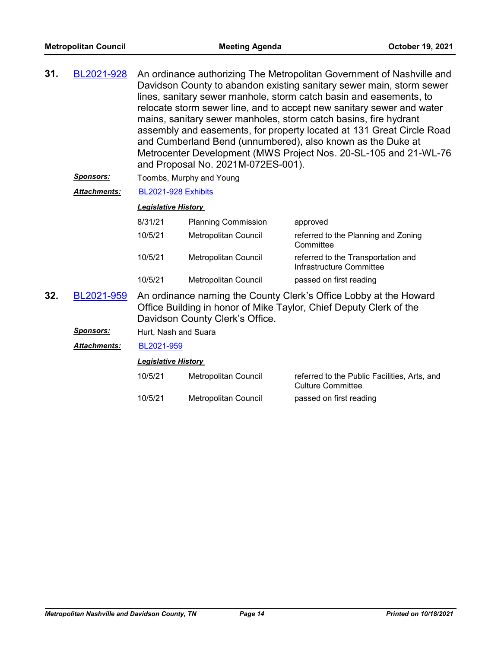| 31. | BL2021-928 | An ordinance authorizing The Metropolitan Government of Nashville and<br>Davidson County to abandon existing sanitary sewer main, storm sewer<br>lines, sanitary sewer manhole, storm catch basin and easements, to<br>relocate storm sewer line, and to accept new sanitary sewer and water<br>mains, sanitary sewer manholes, storm catch basins, fire hydrant<br>assembly and easements, for property located at 131 Great Circle Road<br>and Cumberland Bend (unnumbered), also known as the Duke at<br>Metrocenter Development (MWS Project Nos. 20-SL-105 and 21-WL-76 |
|-----|------------|------------------------------------------------------------------------------------------------------------------------------------------------------------------------------------------------------------------------------------------------------------------------------------------------------------------------------------------------------------------------------------------------------------------------------------------------------------------------------------------------------------------------------------------------------------------------------|
|     |            | and Proposal No. 2021M-072ES-001).                                                                                                                                                                                                                                                                                                                                                                                                                                                                                                                                           |

- **Sponsors:** Toombs, Murphy and Young
- *Attachments:* [BL2021-928 Exhibits](http://nashville.legistar.com/gateway.aspx?M=F&ID=05491d6e-8ccb-4116-8d95-e7fc7ae4eca9.pdf)

#### *Legislative History*

| 8/31/21 | <b>Planning Commission</b>  | approved                                                       |
|---------|-----------------------------|----------------------------------------------------------------|
| 10/5/21 | Metropolitan Council        | referred to the Planning and Zoning<br>Committee               |
| 10/5/21 | <b>Metropolitan Council</b> | referred to the Transportation and<br>Infrastructure Committee |
| 10/5/21 | <b>Metropolitan Council</b> | passed on first reading                                        |

- An ordinance naming the County Clerk's Office Lobby at the Howard Office Building in honor of Mike Taylor, Chief Deputy Clerk of the Davidson County Clerk's Office. **32.** [BL2021-959](http://nashville.legistar.com/gateway.aspx?m=l&id=/matter.aspx?key=13682)
	- *Sponsors:* Hurt, Nash and Suara

*Attachments:* [BL2021-959](http://nashville.legistar.com/gateway.aspx?M=F&ID=343f996b-0e4a-4d44-947c-66bd04d82a30.docx)

| 10/5/21 | Metropolitan Council | referred to the Public Facilities, Arts, and<br>Culture Committee |
|---------|----------------------|-------------------------------------------------------------------|
| 10/5/21 | Metropolitan Council | passed on first reading                                           |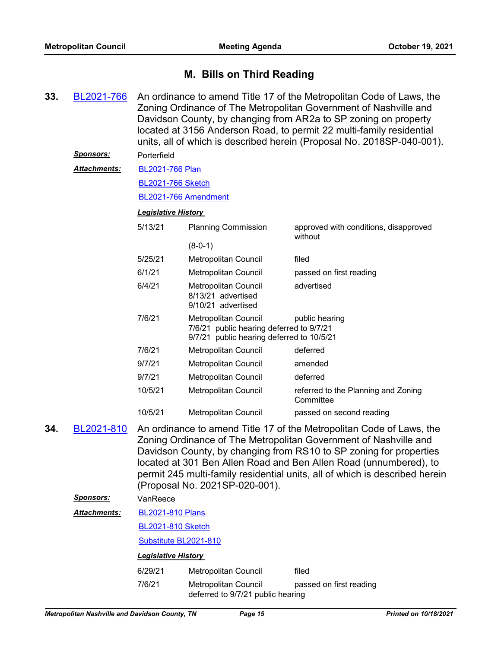### **M. Bills on Third Reading**

An ordinance to amend Title 17 of the Metropolitan Code of Laws, the Zoning Ordinance of The Metropolitan Government of Nashville and Davidson County, by changing from AR2a to SP zoning on property located at 3156 Anderson Road, to permit 22 multi-family residential units, all of which is described herein (Proposal No. 2018SP-040-001). **33.** [BL2021-766](http://nashville.legistar.com/gateway.aspx?m=l&id=/matter.aspx?key=2302) *Sponsors:* Porterfield [BL2021-766 Plan](http://nashville.legistar.com/gateway.aspx?M=F&ID=b37648fb-f041-45af-9755-a1371938b506.pdf) [BL2021-766 Sketch](http://nashville.legistar.com/gateway.aspx?M=F&ID=ee2af55a-7c18-4acf-aeca-0e7a21f67f40.docx) [BL2021-766 Amendment](http://nashville.legistar.com/gateway.aspx?M=F&ID=50ddd5ea-6baa-47eb-a16e-c974aebc20ce.docx) *Attachments: Legislative History*  5/13/21 Planning Commission approved with conditions, disapproved without (8-0-1) 5/25/21 Metropolitan Council filed 6/1/21 Metropolitan Council passed on first reading 6/4/21 Metropolitan Council advertised 8/13/21 advertised 9/10/21 advertised 7/6/21 Metropolitan Council public hearing 7/6/21 public hearing deferred to 9/7/21 9/7/21 public hearing deferred to 10/5/21 7/6/21 Metropolitan Council deferred 9/7/21 Metropolitan Council amended 9/7/21 Metropolitan Council deferred 10/5/21 Metropolitan Council referred to the Planning and Zoning **Committee** 10/5/21 Metropolitan Council passed on second reading An ordinance to amend Title 17 of the Metropolitan Code of Laws, the Zoning Ordinance of The Metropolitan Government of Nashville and Davidson County, by changing from RS10 to SP zoning for properties located at 301 Ben Allen Road and Ben Allen Road (unnumbered), to permit 245 multi-family residential units, all of which is described herein (Proposal No. 2021SP-020-001). **34.** [BL2021-810](http://nashville.legistar.com/gateway.aspx?m=l&id=/matter.aspx?key=2311) *Sponsors:* VanReece [BL2021-810 Plans](http://nashville.legistar.com/gateway.aspx?M=F&ID=8463ed86-e3c2-466c-a523-038095842308.pdf) [BL2021-810 Sketch](http://nashville.legistar.com/gateway.aspx?M=F&ID=d90a8338-4b19-45cc-a5c7-453df8bc4173.docx) [Substitute BL2021-810](http://nashville.legistar.com/gateway.aspx?M=F&ID=2f87b009-2df7-4663-aef0-b836074863c6.docx) *Attachments: Legislative History*  6/29/21 Metropolitan Council filed 7/6/21 Metropolitan Council passed on first reading deferred to 9/7/21 public hearing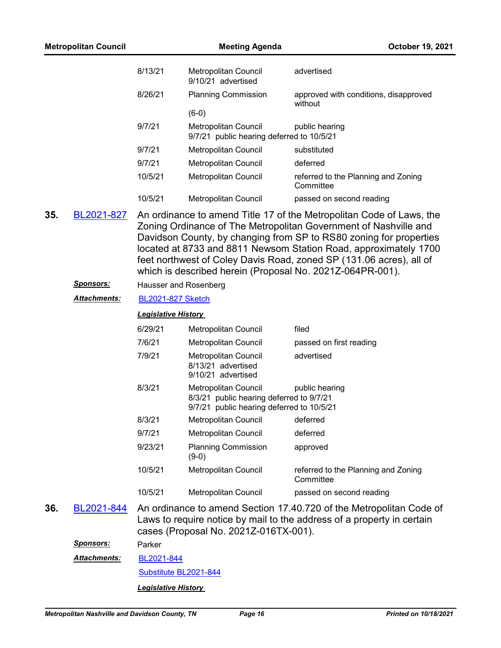| <b>Metropolitan Council</b> |                                  | <b>Meeting Agenda</b>      |                                                                                                               | October 19, 2021                                                                                                                                                                                                                                                                                                                               |
|-----------------------------|----------------------------------|----------------------------|---------------------------------------------------------------------------------------------------------------|------------------------------------------------------------------------------------------------------------------------------------------------------------------------------------------------------------------------------------------------------------------------------------------------------------------------------------------------|
|                             |                                  | 8/13/21                    | <b>Metropolitan Council</b><br>9/10/21 advertised                                                             | advertised                                                                                                                                                                                                                                                                                                                                     |
|                             |                                  | 8/26/21                    | <b>Planning Commission</b>                                                                                    | approved with conditions, disapproved<br>without                                                                                                                                                                                                                                                                                               |
|                             |                                  |                            | $(6-0)$                                                                                                       |                                                                                                                                                                                                                                                                                                                                                |
|                             |                                  | 9/7/21                     | <b>Metropolitan Council</b><br>9/7/21 public hearing deferred to 10/5/21                                      | public hearing                                                                                                                                                                                                                                                                                                                                 |
|                             |                                  | 9/7/21                     | Metropolitan Council                                                                                          | substituted                                                                                                                                                                                                                                                                                                                                    |
|                             |                                  | 9/7/21                     | <b>Metropolitan Council</b>                                                                                   | deferred                                                                                                                                                                                                                                                                                                                                       |
|                             |                                  | 10/5/21                    | <b>Metropolitan Council</b>                                                                                   | referred to the Planning and Zoning<br>Committee                                                                                                                                                                                                                                                                                               |
|                             |                                  | 10/5/21                    | Metropolitan Council                                                                                          | passed on second reading                                                                                                                                                                                                                                                                                                                       |
|                             | <u>Sponsors:</u><br>Attachments: | <b>BL2021-827 Sketch</b>   | Hausser and Rosenberg                                                                                         | Zoning Ordinance of The Metropolitan Government of Nashville and<br>Davidson County, by changing from SP to RS80 zoning for properties<br>located at 8733 and 8811 Newsom Station Road, approximately 1700<br>feet northwest of Coley Davis Road, zoned SP (131.06 acres), all of<br>which is described herein (Proposal No. 2021Z-064PR-001). |
|                             |                                  | <b>Legislative History</b> |                                                                                                               |                                                                                                                                                                                                                                                                                                                                                |
|                             |                                  | 6/29/21                    | Metropolitan Council                                                                                          | filed                                                                                                                                                                                                                                                                                                                                          |
|                             |                                  | 7/6/21                     | <b>Metropolitan Council</b>                                                                                   | passed on first reading                                                                                                                                                                                                                                                                                                                        |
|                             |                                  | 7/9/21                     | Metropolitan Council<br>8/13/21 advertised<br>9/10/21 advertised                                              | advertised                                                                                                                                                                                                                                                                                                                                     |
|                             |                                  | 8/3/21                     | Metropolitan Council<br>8/3/21 public hearing deferred to 9/7/21<br>9/7/21 public hearing deferred to 10/5/21 | public hearing                                                                                                                                                                                                                                                                                                                                 |
|                             |                                  | 8/3/21                     | <b>Metropolitan Council</b>                                                                                   | deferred                                                                                                                                                                                                                                                                                                                                       |
|                             |                                  | 9/7/21                     | <b>Metropolitan Council</b>                                                                                   | deferred                                                                                                                                                                                                                                                                                                                                       |
|                             |                                  | 9/23/21                    | <b>Planning Commission</b><br>$(9-0)$                                                                         | approved                                                                                                                                                                                                                                                                                                                                       |
|                             |                                  | 10/5/21                    | Metropolitan Council                                                                                          | referred to the Planning and Zoning<br>Committee                                                                                                                                                                                                                                                                                               |
|                             |                                  | 10/5/21                    | <b>Metropolitan Council</b>                                                                                   | passed on second reading                                                                                                                                                                                                                                                                                                                       |
| 36.                         | BL2021-844                       |                            | cases (Proposal No. 2021Z-016TX-001).                                                                         | An ordinance to amend Section 17.40.720 of the Metropolitan Code of<br>Laws to require notice by mail to the address of a property in certain                                                                                                                                                                                                  |
|                             | <u>Sponsors:</u>                 | Parker                     |                                                                                                               |                                                                                                                                                                                                                                                                                                                                                |
|                             | Attachments:                     | BL2021-844                 |                                                                                                               |                                                                                                                                                                                                                                                                                                                                                |
|                             |                                  |                            | Substitute BL2021-844                                                                                         |                                                                                                                                                                                                                                                                                                                                                |
|                             |                                  | <b>Legislative History</b> |                                                                                                               |                                                                                                                                                                                                                                                                                                                                                |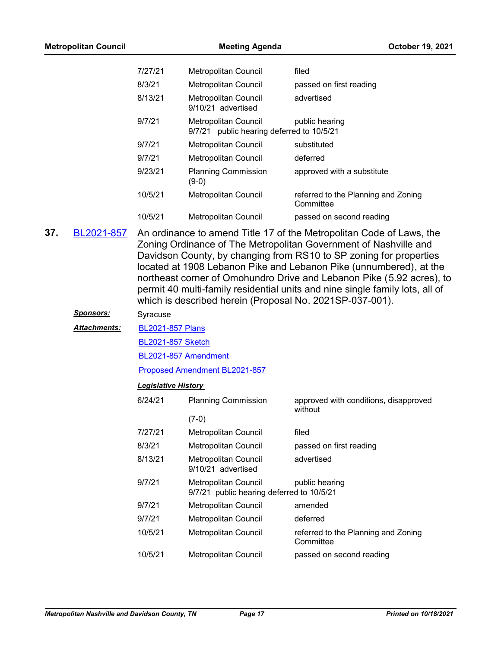| 7/27/21 | Metropolitan Council                                                 | filed                                            |
|---------|----------------------------------------------------------------------|--------------------------------------------------|
| 8/3/21  | <b>Metropolitan Council</b>                                          | passed on first reading                          |
| 8/13/21 | <b>Metropolitan Council</b><br>9/10/21 advertised                    | advertised                                       |
| 9/7/21  | Metropolitan Council<br>public hearing deferred to 10/5/21<br>9/7/21 | public hearing                                   |
| 9/7/21  | <b>Metropolitan Council</b>                                          | substituted                                      |
| 9/7/21  | <b>Metropolitan Council</b>                                          | deferred                                         |
| 9/23/21 | <b>Planning Commission</b><br>$(9-0)$                                | approved with a substitute                       |
| 10/5/21 | <b>Metropolitan Council</b>                                          | referred to the Planning and Zoning<br>Committee |
| 10/5/21 | <b>Metropolitan Council</b>                                          | passed on second reading                         |

An ordinance to amend Title 17 of the Metropolitan Code of Laws, the Zoning Ordinance of The Metropolitan Government of Nashville and Davidson County, by changing from RS10 to SP zoning for properties located at 1908 Lebanon Pike and Lebanon Pike (unnumbered), at the northeast corner of Omohundro Drive and Lebanon Pike (5.92 acres), to permit 40 multi-family residential units and nine single family lots, all of which is described herein (Proposal No. 2021SP-037-001). **37.** [BL2021-857](http://nashville.legistar.com/gateway.aspx?m=l&id=/matter.aspx?key=13389)

#### *Sponsors:* Syracuse

#### [BL2021-857 Plans](http://nashville.legistar.com/gateway.aspx?M=F&ID=bf137b96-ba16-4924-b5fb-b466d2074909.pdf) *Attachments:*

[BL2021-857 Sketch](http://nashville.legistar.com/gateway.aspx?M=F&ID=4ded7322-0b73-48a3-83b2-43879094f227.docx)

[BL2021-857 Amendment](http://nashville.legistar.com/gateway.aspx?M=F&ID=051e905c-1235-41fe-82a7-88a4396780b5.docx)

[Proposed Amendment BL2021-857](http://nashville.legistar.com/gateway.aspx?M=F&ID=b9857869-3c7a-4aec-ad42-1d897a4676fa.docx)

| 6/24/21 | <b>Planning Commission</b>                                        | approved with conditions, disapproved<br>without |
|---------|-------------------------------------------------------------------|--------------------------------------------------|
|         | $(7-0)$                                                           |                                                  |
| 7/27/21 | Metropolitan Council                                              | filed                                            |
| 8/3/21  | Metropolitan Council                                              | passed on first reading                          |
| 8/13/21 | Metropolitan Council<br>9/10/21 advertised                        | advertised                                       |
| 9/7/21  | Metropolitan Council<br>9/7/21 public hearing deferred to 10/5/21 | public hearing                                   |
| 9/7/21  | Metropolitan Council                                              | amended                                          |
| 9/7/21  | Metropolitan Council                                              | deferred                                         |
| 10/5/21 | Metropolitan Council                                              | referred to the Planning and Zoning<br>Committee |
| 10/5/21 | <b>Metropolitan Council</b>                                       | passed on second reading                         |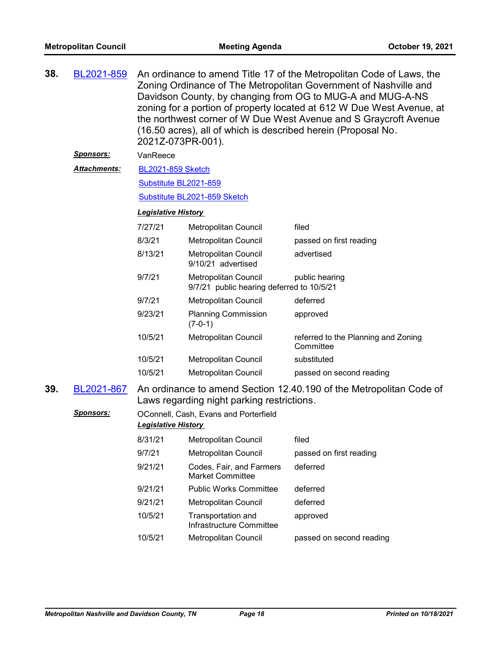| 38.                                                                                                                                    | BL2021-859          | An ordinance to amend Title 17 of the Metropolitan Code of Laws, the<br>Zoning Ordinance of The Metropolitan Government of Nashville and<br>Davidson County, by changing from OG to MUG-A and MUG-A-NS<br>zoning for a portion of property located at 612 W Due West Avenue, at<br>the northwest corner of W Due West Avenue and S Graycroft Avenue<br>(16.50 acres), all of which is described herein (Proposal No.<br>2021Z-073PR-001). |                                                                   |                                                  |  |  |
|----------------------------------------------------------------------------------------------------------------------------------------|---------------------|-------------------------------------------------------------------------------------------------------------------------------------------------------------------------------------------------------------------------------------------------------------------------------------------------------------------------------------------------------------------------------------------------------------------------------------------|-------------------------------------------------------------------|--------------------------------------------------|--|--|
|                                                                                                                                        | <u>Sponsors:</u>    | VanReece                                                                                                                                                                                                                                                                                                                                                                                                                                  |                                                                   |                                                  |  |  |
|                                                                                                                                        | <b>Attachments:</b> | <b>BL2021-859 Sketch</b>                                                                                                                                                                                                                                                                                                                                                                                                                  |                                                                   |                                                  |  |  |
|                                                                                                                                        |                     | Substitute BL2021-859                                                                                                                                                                                                                                                                                                                                                                                                                     |                                                                   |                                                  |  |  |
|                                                                                                                                        |                     |                                                                                                                                                                                                                                                                                                                                                                                                                                           | Substitute BL2021-859 Sketch                                      |                                                  |  |  |
|                                                                                                                                        |                     | <b>Legislative History</b>                                                                                                                                                                                                                                                                                                                                                                                                                |                                                                   |                                                  |  |  |
|                                                                                                                                        |                     | 7/27/21                                                                                                                                                                                                                                                                                                                                                                                                                                   | Metropolitan Council                                              | filed                                            |  |  |
|                                                                                                                                        |                     | 8/3/21                                                                                                                                                                                                                                                                                                                                                                                                                                    | <b>Metropolitan Council</b>                                       | passed on first reading                          |  |  |
|                                                                                                                                        |                     | 8/13/21                                                                                                                                                                                                                                                                                                                                                                                                                                   | Metropolitan Council<br>9/10/21 advertised                        | advertised                                       |  |  |
|                                                                                                                                        |                     | 9/7/21                                                                                                                                                                                                                                                                                                                                                                                                                                    | Metropolitan Council<br>9/7/21 public hearing deferred to 10/5/21 | public hearing                                   |  |  |
|                                                                                                                                        |                     | 9/7/21                                                                                                                                                                                                                                                                                                                                                                                                                                    | Metropolitan Council                                              | deferred                                         |  |  |
|                                                                                                                                        |                     | 9/23/21                                                                                                                                                                                                                                                                                                                                                                                                                                   | <b>Planning Commission</b><br>$(7-0-1)$                           | approved                                         |  |  |
|                                                                                                                                        |                     | 10/5/21                                                                                                                                                                                                                                                                                                                                                                                                                                   | Metropolitan Council                                              | referred to the Planning and Zoning<br>Committee |  |  |
|                                                                                                                                        |                     | 10/5/21                                                                                                                                                                                                                                                                                                                                                                                                                                   | Metropolitan Council                                              | substituted                                      |  |  |
|                                                                                                                                        |                     | 10/5/21                                                                                                                                                                                                                                                                                                                                                                                                                                   | Metropolitan Council                                              | passed on second reading                         |  |  |
| 39.<br>BL2021-867<br>An ordinance to amend Section 12.40.190 of the Metropolitan Code of<br>Laws regarding night parking restrictions. |                     |                                                                                                                                                                                                                                                                                                                                                                                                                                           |                                                                   |                                                  |  |  |
|                                                                                                                                        | <b>Sponsors:</b>    |                                                                                                                                                                                                                                                                                                                                                                                                                                           | OConnell, Cash, Evans and Porterfield                             |                                                  |  |  |
|                                                                                                                                        |                     | <b>Legislative History</b>                                                                                                                                                                                                                                                                                                                                                                                                                |                                                                   |                                                  |  |  |
|                                                                                                                                        |                     | 8/31/21                                                                                                                                                                                                                                                                                                                                                                                                                                   | Metropolitan Council                                              | filed                                            |  |  |
|                                                                                                                                        |                     | 9/7/21                                                                                                                                                                                                                                                                                                                                                                                                                                    | Metropolitan Council                                              | passed on first reading                          |  |  |
|                                                                                                                                        |                     | 9/21/21                                                                                                                                                                                                                                                                                                                                                                                                                                   | Codes, Fair, and Farmers<br><b>Market Committee</b>               | deferred                                         |  |  |
|                                                                                                                                        |                     | 9/21/21                                                                                                                                                                                                                                                                                                                                                                                                                                   | <b>Public Works Committee</b>                                     | deferred                                         |  |  |
|                                                                                                                                        |                     | 9/21/21                                                                                                                                                                                                                                                                                                                                                                                                                                   | Metropolitan Council                                              | deferred                                         |  |  |
|                                                                                                                                        |                     | 10/5/21                                                                                                                                                                                                                                                                                                                                                                                                                                   | Transportation and<br>Infrastructure Committee                    | approved                                         |  |  |
|                                                                                                                                        |                     | 10/5/21                                                                                                                                                                                                                                                                                                                                                                                                                                   | Metropolitan Council                                              | passed on second reading                         |  |  |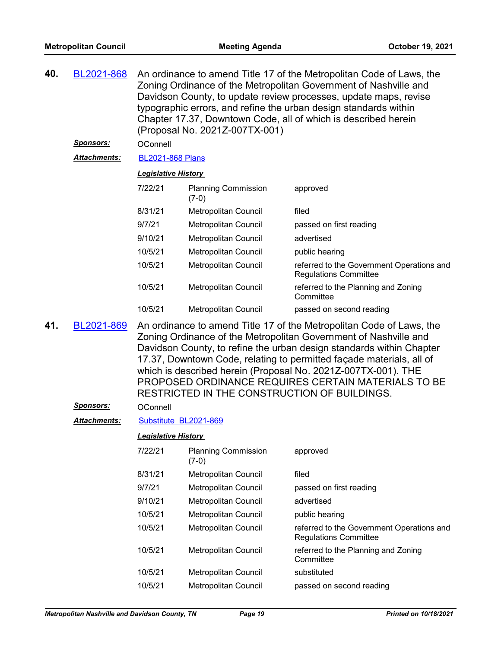| 40. | BL2021-868       | An ordinance to amend Title 17 of the Metropolitan Code of Laws, the<br>Zoning Ordinance of the Metropolitan Government of Nashville and<br>Davidson County, to update review processes, update maps, revise<br>typographic errors, and refine the urban design standards within<br>Chapter 17.37, Downtown Code, all of which is described herein<br>(Proposal No. 2021Z-007TX-001)                                                                             |                                       |                                                                           |  |  |  |
|-----|------------------|------------------------------------------------------------------------------------------------------------------------------------------------------------------------------------------------------------------------------------------------------------------------------------------------------------------------------------------------------------------------------------------------------------------------------------------------------------------|---------------------------------------|---------------------------------------------------------------------------|--|--|--|
|     | <u>Sponsors:</u> | OConnell                                                                                                                                                                                                                                                                                                                                                                                                                                                         |                                       |                                                                           |  |  |  |
|     | Attachments:     | <b>BL2021-868 Plans</b>                                                                                                                                                                                                                                                                                                                                                                                                                                          |                                       |                                                                           |  |  |  |
|     |                  | <b>Legislative History</b>                                                                                                                                                                                                                                                                                                                                                                                                                                       |                                       |                                                                           |  |  |  |
|     |                  | 7/22/21                                                                                                                                                                                                                                                                                                                                                                                                                                                          | <b>Planning Commission</b><br>$(7-0)$ | approved                                                                  |  |  |  |
|     |                  | 8/31/21                                                                                                                                                                                                                                                                                                                                                                                                                                                          | Metropolitan Council                  | filed                                                                     |  |  |  |
|     |                  | 9/7/21                                                                                                                                                                                                                                                                                                                                                                                                                                                           | Metropolitan Council                  | passed on first reading                                                   |  |  |  |
|     |                  | 9/10/21                                                                                                                                                                                                                                                                                                                                                                                                                                                          | Metropolitan Council                  | advertised                                                                |  |  |  |
|     |                  | 10/5/21                                                                                                                                                                                                                                                                                                                                                                                                                                                          | Metropolitan Council                  | public hearing                                                            |  |  |  |
|     |                  | 10/5/21                                                                                                                                                                                                                                                                                                                                                                                                                                                          | Metropolitan Council                  | referred to the Government Operations and<br><b>Regulations Committee</b> |  |  |  |
|     |                  | 10/5/21                                                                                                                                                                                                                                                                                                                                                                                                                                                          | Metropolitan Council                  | referred to the Planning and Zoning<br>Committee                          |  |  |  |
|     |                  | 10/5/21                                                                                                                                                                                                                                                                                                                                                                                                                                                          | <b>Metropolitan Council</b>           | passed on second reading                                                  |  |  |  |
| 41. | BL2021-869       | An ordinance to amend Title 17 of the Metropolitan Code of Laws, the<br>Zoning Ordinance of the Metropolitan Government of Nashville and<br>Davidson County, to refine the urban design standards within Chapter<br>17.37, Downtown Code, relating to permitted façade materials, all of<br>which is described herein (Proposal No. 2021Z-007TX-001). THE<br>PROPOSED ORDINANCE REQUIRES CERTAIN MATERIALS TO BE<br>RESTRICTED IN THE CONSTRUCTION OF BUILDINGS. |                                       |                                                                           |  |  |  |
|     | <u>Sponsors:</u> | OConnell                                                                                                                                                                                                                                                                                                                                                                                                                                                         |                                       |                                                                           |  |  |  |
|     | Attachments:     | Substitute BL2021-869                                                                                                                                                                                                                                                                                                                                                                                                                                            |                                       |                                                                           |  |  |  |
|     |                  | <b>Legislative History</b>                                                                                                                                                                                                                                                                                                                                                                                                                                       |                                       |                                                                           |  |  |  |
|     |                  | 7/22/21                                                                                                                                                                                                                                                                                                                                                                                                                                                          | <b>Planning Commission</b><br>$(7-0)$ | approved                                                                  |  |  |  |
|     |                  | 8/31/21                                                                                                                                                                                                                                                                                                                                                                                                                                                          | Metropolitan Council                  | filed                                                                     |  |  |  |
|     |                  | 9/7/21                                                                                                                                                                                                                                                                                                                                                                                                                                                           | Metropolitan Council                  | passed on first reading                                                   |  |  |  |
|     |                  | 9/10/21                                                                                                                                                                                                                                                                                                                                                                                                                                                          | Metropolitan Council                  | advertised                                                                |  |  |  |
|     |                  | 10/5/21                                                                                                                                                                                                                                                                                                                                                                                                                                                          | <b>Metropolitan Council</b>           | public hearing                                                            |  |  |  |
|     |                  | 10/5/21                                                                                                                                                                                                                                                                                                                                                                                                                                                          | Metropolitan Council                  | referred to the Government Operations and<br><b>Regulations Committee</b> |  |  |  |
|     |                  | 10/5/21                                                                                                                                                                                                                                                                                                                                                                                                                                                          | Metropolitan Council                  | referred to the Planning and Zoning<br>Committee                          |  |  |  |
|     |                  | 10/5/21                                                                                                                                                                                                                                                                                                                                                                                                                                                          | Metropolitan Council                  | substituted                                                               |  |  |  |
|     |                  | 10/5/21                                                                                                                                                                                                                                                                                                                                                                                                                                                          | Metropolitan Council                  | passed on second reading                                                  |  |  |  |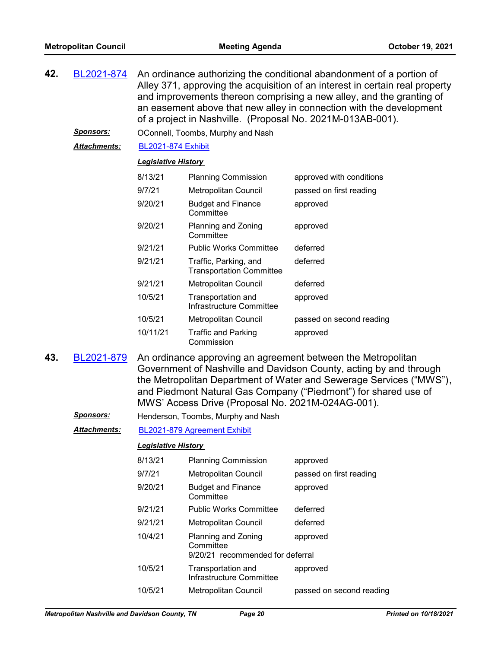| 42. | BL2021-874          | An ordinance authorizing the conditional abandonment of a portion of<br>Alley 371, approving the acquisition of an interest in certain real property<br>and improvements thereon comprising a new alley, and the granting of<br>an easement above that new alley in connection with the development<br>of a project in Nashville. (Proposal No. 2021M-013AB-001). |
|-----|---------------------|-------------------------------------------------------------------------------------------------------------------------------------------------------------------------------------------------------------------------------------------------------------------------------------------------------------------------------------------------------------------|
|     | <b>Sponsors:</b>    | OConnell, Toombs, Murphy and Nash                                                                                                                                                                                                                                                                                                                                 |
|     | <b>Attachments:</b> | <b>BL2021-874 Exhibit</b>                                                                                                                                                                                                                                                                                                                                         |

#### *Legislative History*

| 8/13/21  | <b>Planning Commission</b>                               | approved with conditions |
|----------|----------------------------------------------------------|--------------------------|
| 9/7/21   | Metropolitan Council                                     | passed on first reading  |
| 9/20/21  | <b>Budget and Finance</b><br>Committee                   | approved                 |
| 9/20/21  | Planning and Zoning<br>Committee                         | approved                 |
| 9/21/21  | <b>Public Works Committee</b>                            | deferred                 |
| 9/21/21  | Traffic, Parking, and<br><b>Transportation Committee</b> | deferred                 |
| 9/21/21  | <b>Metropolitan Council</b>                              | deferred                 |
| 10/5/21  | Transportation and<br>Infrastructure Committee           | approved                 |
| 10/5/21  | <b>Metropolitan Council</b>                              | passed on second reading |
| 10/11/21 | Traffic and Parking<br>Commission                        | approved                 |

An ordinance approving an agreement between the Metropolitan Government of Nashville and Davidson County, acting by and through the Metropolitan Department of Water and Sewerage Services ("MWS"), and Piedmont Natural Gas Company ("Piedmont") for shared use of MWS' Access Drive (Proposal No. 2021M-024AG-001). **43.** [BL2021-879](http://nashville.legistar.com/gateway.aspx?m=l&id=/matter.aspx?key=13485)

*Sponsors:* Henderson, Toombs, Murphy and Nash

*Attachments:* [BL2021-879 Agreement Exhibit](http://nashville.legistar.com/gateway.aspx?M=F&ID=a61af849-5752-46b7-ba61-c8b99520aca9.pdf)

| 8/13/21 | <b>Planning Commission</b>                     | approved                 |
|---------|------------------------------------------------|--------------------------|
| 9/7/21  | <b>Metropolitan Council</b>                    | passed on first reading  |
| 9/20/21 | <b>Budget and Finance</b><br>Committee         | approved                 |
| 9/21/21 | <b>Public Works Committee</b>                  | deferred                 |
| 9/21/21 | Metropolitan Council                           | deferred                 |
| 10/4/21 | Planning and Zoning<br>Committee               | approved                 |
|         | 9/20/21 recommended for deferral               |                          |
| 10/5/21 | Transportation and<br>Infrastructure Committee | approved                 |
| 10/5/21 | <b>Metropolitan Council</b>                    | passed on second reading |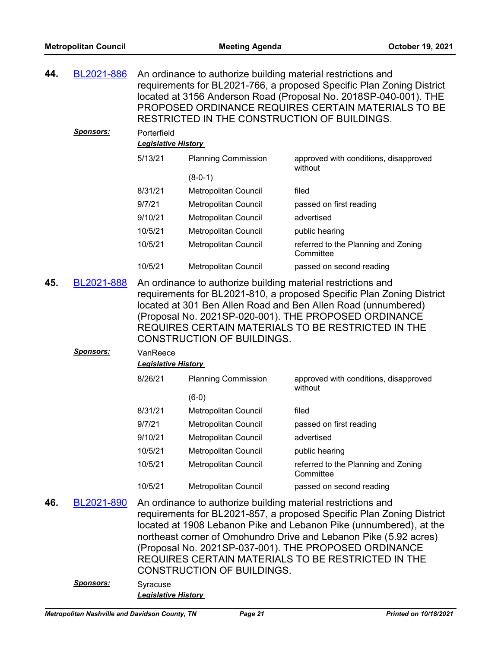| 44.                 | BL2021-886                     | An ordinance to authorize building material restrictions and<br>requirements for BL2021-766, a proposed Specific Plan Zoning District<br>located at 3156 Anderson Road (Proposal No. 2018SP-040-001). THE<br>PROPOSED ORDINANCE REQUIRES CERTAIN MATERIALS TO BE<br>RESTRICTED IN THE CONSTRUCTION OF BUILDINGS. |                                                                                                   |                                                                                                                                                                                                                                                                                                                                 |
|---------------------|--------------------------------|------------------------------------------------------------------------------------------------------------------------------------------------------------------------------------------------------------------------------------------------------------------------------------------------------------------|---------------------------------------------------------------------------------------------------|---------------------------------------------------------------------------------------------------------------------------------------------------------------------------------------------------------------------------------------------------------------------------------------------------------------------------------|
|                     | <u>Sponsors:</u>               | Porterfield<br><b>Legislative History</b>                                                                                                                                                                                                                                                                        |                                                                                                   |                                                                                                                                                                                                                                                                                                                                 |
|                     |                                | 5/13/21                                                                                                                                                                                                                                                                                                          | <b>Planning Commission</b>                                                                        | approved with conditions, disapproved<br>without                                                                                                                                                                                                                                                                                |
|                     |                                |                                                                                                                                                                                                                                                                                                                  | $(8-0-1)$                                                                                         |                                                                                                                                                                                                                                                                                                                                 |
|                     |                                | 8/31/21                                                                                                                                                                                                                                                                                                          | Metropolitan Council                                                                              | filed                                                                                                                                                                                                                                                                                                                           |
|                     |                                | 9/7/21                                                                                                                                                                                                                                                                                                           | Metropolitan Council                                                                              | passed on first reading                                                                                                                                                                                                                                                                                                         |
|                     |                                | 9/10/21                                                                                                                                                                                                                                                                                                          | Metropolitan Council                                                                              | advertised                                                                                                                                                                                                                                                                                                                      |
|                     |                                | 10/5/21                                                                                                                                                                                                                                                                                                          | Metropolitan Council                                                                              | public hearing                                                                                                                                                                                                                                                                                                                  |
|                     |                                | 10/5/21                                                                                                                                                                                                                                                                                                          | Metropolitan Council                                                                              | referred to the Planning and Zoning<br>Committee                                                                                                                                                                                                                                                                                |
|                     |                                | 10/5/21                                                                                                                                                                                                                                                                                                          | <b>Metropolitan Council</b>                                                                       | passed on second reading                                                                                                                                                                                                                                                                                                        |
| 45.                 | BL2021-888                     |                                                                                                                                                                                                                                                                                                                  | An ordinance to authorize building material restrictions and<br><b>CONSTRUCTION OF BUILDINGS.</b> | requirements for BL2021-810, a proposed Specific Plan Zoning District<br>located at 301 Ben Allen Road and Ben Allen Road (unnumbered)<br>(Proposal No. 2021SP-020-001). THE PROPOSED ORDINANCE<br>REQUIRES CERTAIN MATERIALS TO BE RESTRICTED IN THE                                                                           |
|                     | <b>Sponsors:</b>               | VanReece                                                                                                                                                                                                                                                                                                         |                                                                                                   |                                                                                                                                                                                                                                                                                                                                 |
|                     |                                | <b>Legislative History</b>                                                                                                                                                                                                                                                                                       |                                                                                                   |                                                                                                                                                                                                                                                                                                                                 |
|                     |                                | 8/26/21                                                                                                                                                                                                                                                                                                          | <b>Planning Commission</b>                                                                        | approved with conditions, disapproved<br>without                                                                                                                                                                                                                                                                                |
|                     |                                |                                                                                                                                                                                                                                                                                                                  | $(6-0)$                                                                                           |                                                                                                                                                                                                                                                                                                                                 |
|                     |                                | 8/31/21                                                                                                                                                                                                                                                                                                          | <b>Metropolitan Council</b>                                                                       | filed                                                                                                                                                                                                                                                                                                                           |
|                     |                                | 9/7/21                                                                                                                                                                                                                                                                                                           | <b>Metropolitan Council</b>                                                                       | passed on first reading                                                                                                                                                                                                                                                                                                         |
|                     |                                | 9/10/21                                                                                                                                                                                                                                                                                                          | Metropolitan Council                                                                              | advertised                                                                                                                                                                                                                                                                                                                      |
|                     |                                | 10/5/21                                                                                                                                                                                                                                                                                                          | Metropolitan Council                                                                              | public hearing                                                                                                                                                                                                                                                                                                                  |
|                     |                                | 10/5/21                                                                                                                                                                                                                                                                                                          | Metropolitan Council                                                                              | referred to the Planning and Zoning<br>Committee                                                                                                                                                                                                                                                                                |
|                     |                                | 10/5/21                                                                                                                                                                                                                                                                                                          | Metropolitan Council                                                                              | passed on second reading                                                                                                                                                                                                                                                                                                        |
| 46.                 | BL2021-890<br><u>Sponsors:</u> | Syracuse                                                                                                                                                                                                                                                                                                         | An ordinance to authorize building material restrictions and<br><b>CONSTRUCTION OF BUILDINGS.</b> | requirements for BL2021-857, a proposed Specific Plan Zoning District<br>located at 1908 Lebanon Pike and Lebanon Pike (unnumbered), at the<br>northeast corner of Omohundro Drive and Lebanon Pike (5.92 acres)<br>(Proposal No. 2021SP-037-001). THE PROPOSED ORDINANCE<br>REQUIRES CERTAIN MATERIALS TO BE RESTRICTED IN THE |
| Legislative History |                                |                                                                                                                                                                                                                                                                                                                  |                                                                                                   |                                                                                                                                                                                                                                                                                                                                 |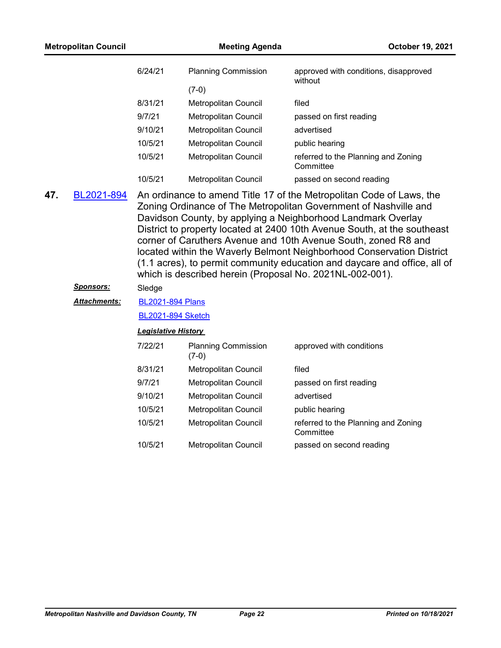|     | <b>Metropolitan Council</b> |                            | <b>Meeting Agenda</b>                                    | October 19, 2021                                                                                                                                                                                                                                                                                                                                                                                                                                                                                             |
|-----|-----------------------------|----------------------------|----------------------------------------------------------|--------------------------------------------------------------------------------------------------------------------------------------------------------------------------------------------------------------------------------------------------------------------------------------------------------------------------------------------------------------------------------------------------------------------------------------------------------------------------------------------------------------|
|     |                             | 6/24/21                    | <b>Planning Commission</b><br>$(7-0)$                    | approved with conditions, disapproved<br>without                                                                                                                                                                                                                                                                                                                                                                                                                                                             |
|     |                             | 8/31/21                    | Metropolitan Council                                     | filed                                                                                                                                                                                                                                                                                                                                                                                                                                                                                                        |
|     |                             | 9/7/21                     | Metropolitan Council                                     | passed on first reading                                                                                                                                                                                                                                                                                                                                                                                                                                                                                      |
|     |                             | 9/10/21                    | Metropolitan Council                                     | advertised                                                                                                                                                                                                                                                                                                                                                                                                                                                                                                   |
|     |                             | 10/5/21                    | <b>Metropolitan Council</b>                              | public hearing                                                                                                                                                                                                                                                                                                                                                                                                                                                                                               |
|     |                             | 10/5/21                    | Metropolitan Council                                     | referred to the Planning and Zoning<br>Committee                                                                                                                                                                                                                                                                                                                                                                                                                                                             |
|     |                             | 10/5/21                    | Metropolitan Council                                     | passed on second reading                                                                                                                                                                                                                                                                                                                                                                                                                                                                                     |
| 47. | BL2021-894                  |                            | which is described herein (Proposal No. 2021NL-002-001). | An ordinance to amend Title 17 of the Metropolitan Code of Laws, the<br>Zoning Ordinance of The Metropolitan Government of Nashville and<br>Davidson County, by applying a Neighborhood Landmark Overlay<br>District to property located at 2400 10th Avenue South, at the southeast<br>corner of Caruthers Avenue and 10th Avenue South, zoned R8 and<br>located within the Waverly Belmont Neighborhood Conservation District<br>(1.1 acres), to permit community education and daycare and office, all of |
|     | <u>Sponsors:</u>            | Sledge                     |                                                          |                                                                                                                                                                                                                                                                                                                                                                                                                                                                                                              |
|     | <b>Attachments:</b>         | <b>BL2021-894 Plans</b>    |                                                          |                                                                                                                                                                                                                                                                                                                                                                                                                                                                                                              |
|     |                             | <b>BL2021-894 Sketch</b>   |                                                          |                                                                                                                                                                                                                                                                                                                                                                                                                                                                                                              |
|     |                             | <b>Legislative History</b> |                                                          |                                                                                                                                                                                                                                                                                                                                                                                                                                                                                                              |
|     |                             | 7/22/21                    | <b>Planning Commission</b><br>$(7-0)$                    | approved with conditions                                                                                                                                                                                                                                                                                                                                                                                                                                                                                     |
|     |                             | 8/31/21                    | Metropolitan Council                                     | filed                                                                                                                                                                                                                                                                                                                                                                                                                                                                                                        |
|     |                             | 9/7/21                     | Metropolitan Council                                     | passed on first reading                                                                                                                                                                                                                                                                                                                                                                                                                                                                                      |
|     |                             | 9/10/21                    | Metropolitan Council                                     | advertised                                                                                                                                                                                                                                                                                                                                                                                                                                                                                                   |
|     |                             | 10/5/21                    | Metropolitan Council                                     | public hearing                                                                                                                                                                                                                                                                                                                                                                                                                                                                                               |
|     |                             | 10/5/21                    | Metropolitan Council                                     | referred to the Planning and Zoning<br>Committee                                                                                                                                                                                                                                                                                                                                                                                                                                                             |
|     |                             | 10/5/21                    | Metropolitan Council                                     | passed on second reading                                                                                                                                                                                                                                                                                                                                                                                                                                                                                     |
|     |                             |                            |                                                          |                                                                                                                                                                                                                                                                                                                                                                                                                                                                                                              |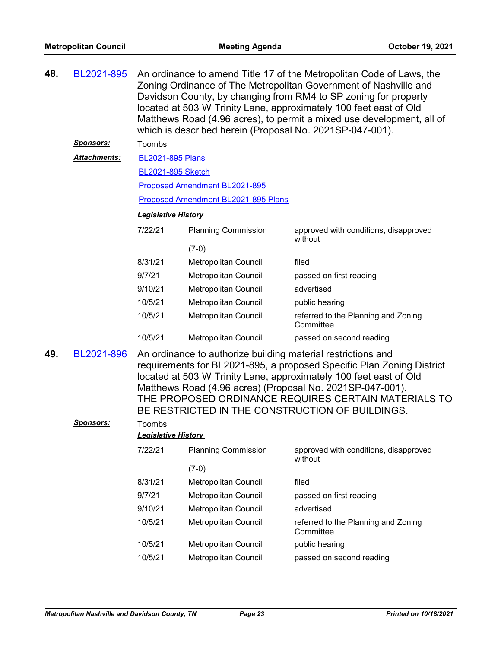| 48. | BL2021-895          | An ordinance to amend Title 17 of the Metropolitan Code of Laws, the<br>Zoning Ordinance of The Metropolitan Government of Nashville and<br>Davidson County, by changing from RM4 to SP zoning for property<br>located at 503 W Trinity Lane, approximately 100 feet east of Old<br>Matthews Road (4.96 acres), to permit a mixed use development, all of<br>which is described herein (Proposal No. 2021SP-047-001). |                                                              |                                                                                                                                                                                                                                                                                                                    |  |  |
|-----|---------------------|-----------------------------------------------------------------------------------------------------------------------------------------------------------------------------------------------------------------------------------------------------------------------------------------------------------------------------------------------------------------------------------------------------------------------|--------------------------------------------------------------|--------------------------------------------------------------------------------------------------------------------------------------------------------------------------------------------------------------------------------------------------------------------------------------------------------------------|--|--|
|     | <b>Sponsors:</b>    | Toombs                                                                                                                                                                                                                                                                                                                                                                                                                |                                                              |                                                                                                                                                                                                                                                                                                                    |  |  |
|     | <b>Attachments:</b> | <b>BL2021-895 Plans</b>                                                                                                                                                                                                                                                                                                                                                                                               |                                                              |                                                                                                                                                                                                                                                                                                                    |  |  |
|     |                     | <b>BL2021-895 Sketch</b>                                                                                                                                                                                                                                                                                                                                                                                              |                                                              |                                                                                                                                                                                                                                                                                                                    |  |  |
|     |                     |                                                                                                                                                                                                                                                                                                                                                                                                                       | Proposed Amendment BL2021-895                                |                                                                                                                                                                                                                                                                                                                    |  |  |
|     |                     |                                                                                                                                                                                                                                                                                                                                                                                                                       | Proposed Amendment BL2021-895 Plans                          |                                                                                                                                                                                                                                                                                                                    |  |  |
|     |                     | <b>Legislative History</b>                                                                                                                                                                                                                                                                                                                                                                                            |                                                              |                                                                                                                                                                                                                                                                                                                    |  |  |
|     |                     | 7/22/21                                                                                                                                                                                                                                                                                                                                                                                                               | <b>Planning Commission</b>                                   | approved with conditions, disapproved<br>without                                                                                                                                                                                                                                                                   |  |  |
|     |                     |                                                                                                                                                                                                                                                                                                                                                                                                                       | $(7-0)$                                                      |                                                                                                                                                                                                                                                                                                                    |  |  |
|     |                     | 8/31/21                                                                                                                                                                                                                                                                                                                                                                                                               | Metropolitan Council                                         | filed                                                                                                                                                                                                                                                                                                              |  |  |
|     |                     | 9/7/21                                                                                                                                                                                                                                                                                                                                                                                                                | Metropolitan Council                                         | passed on first reading                                                                                                                                                                                                                                                                                            |  |  |
|     |                     | 9/10/21                                                                                                                                                                                                                                                                                                                                                                                                               | Metropolitan Council                                         | advertised                                                                                                                                                                                                                                                                                                         |  |  |
|     |                     | 10/5/21                                                                                                                                                                                                                                                                                                                                                                                                               | Metropolitan Council                                         | public hearing                                                                                                                                                                                                                                                                                                     |  |  |
|     |                     | 10/5/21                                                                                                                                                                                                                                                                                                                                                                                                               | Metropolitan Council                                         | referred to the Planning and Zoning<br>Committee                                                                                                                                                                                                                                                                   |  |  |
|     |                     | 10/5/21                                                                                                                                                                                                                                                                                                                                                                                                               | Metropolitan Council                                         | passed on second reading                                                                                                                                                                                                                                                                                           |  |  |
| 49. | BL2021-896          |                                                                                                                                                                                                                                                                                                                                                                                                                       | An ordinance to authorize building material restrictions and | requirements for BL2021-895, a proposed Specific Plan Zoning District<br>located at 503 W Trinity Lane, approximately 100 feet east of Old<br>Matthews Road (4.96 acres) (Proposal No. 2021SP-047-001).<br>THE PROPOSED ORDINANCE REQUIRES CERTAIN MATERIALS TO<br>BE RESTRICTED IN THE CONSTRUCTION OF BUILDINGS. |  |  |
|     | <b>Sponsors:</b>    | Toombs<br><b>Legislative History</b>                                                                                                                                                                                                                                                                                                                                                                                  |                                                              |                                                                                                                                                                                                                                                                                                                    |  |  |
|     |                     | 7/22/21                                                                                                                                                                                                                                                                                                                                                                                                               | <b>Planning Commission</b>                                   | approved with conditions, disapproved<br>without                                                                                                                                                                                                                                                                   |  |  |
|     |                     |                                                                                                                                                                                                                                                                                                                                                                                                                       | $(7-0)$                                                      |                                                                                                                                                                                                                                                                                                                    |  |  |
|     |                     | 8/31/21                                                                                                                                                                                                                                                                                                                                                                                                               | Metropolitan Council                                         | filed                                                                                                                                                                                                                                                                                                              |  |  |
|     |                     | 9/7/21                                                                                                                                                                                                                                                                                                                                                                                                                | Metropolitan Council                                         | passed on first reading                                                                                                                                                                                                                                                                                            |  |  |
|     |                     | 9/10/21                                                                                                                                                                                                                                                                                                                                                                                                               | Metropolitan Council                                         | advertised                                                                                                                                                                                                                                                                                                         |  |  |
|     |                     | 10/5/21                                                                                                                                                                                                                                                                                                                                                                                                               | Metropolitan Council                                         | referred to the Planning and Zoning<br>Committee                                                                                                                                                                                                                                                                   |  |  |
|     |                     | 10/5/21                                                                                                                                                                                                                                                                                                                                                                                                               | Metropolitan Council                                         | public hearing                                                                                                                                                                                                                                                                                                     |  |  |
|     |                     | 10/5/21                                                                                                                                                                                                                                                                                                                                                                                                               | Metropolitan Council                                         | passed on second reading                                                                                                                                                                                                                                                                                           |  |  |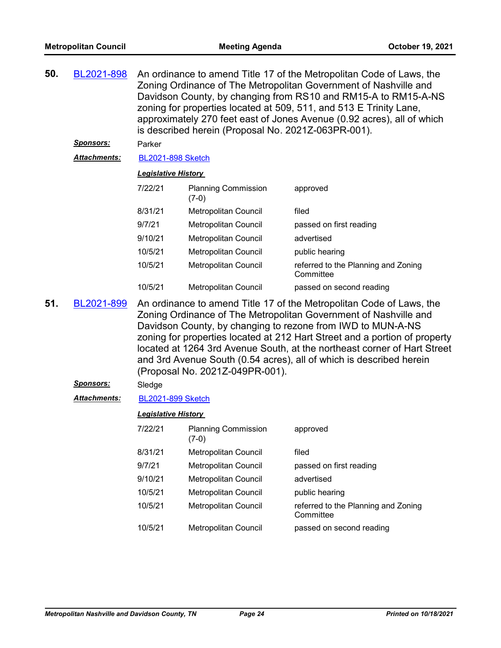| 50.     | BL2021-898          | An ordinance to amend Title 17 of the Metropolitan Code of Laws, the<br>Zoning Ordinance of The Metropolitan Government of Nashville and<br>Davidson County, by changing from RS10 and RM15-A to RM15-A-NS<br>zoning for properties located at 509, 511, and 513 E Trinity Lane,<br>approximately 270 feet east of Jones Avenue (0.92 acres), all of which<br>is described herein (Proposal No. 2021Z-063PR-001). |                                                                                                                                                                                                                                                                                                                                                                                                                                                                             |                                                  |  |
|---------|---------------------|-------------------------------------------------------------------------------------------------------------------------------------------------------------------------------------------------------------------------------------------------------------------------------------------------------------------------------------------------------------------------------------------------------------------|-----------------------------------------------------------------------------------------------------------------------------------------------------------------------------------------------------------------------------------------------------------------------------------------------------------------------------------------------------------------------------------------------------------------------------------------------------------------------------|--------------------------------------------------|--|
|         | <u>Sponsors:</u>    | Parker                                                                                                                                                                                                                                                                                                                                                                                                            |                                                                                                                                                                                                                                                                                                                                                                                                                                                                             |                                                  |  |
|         | <b>Attachments:</b> | <b>BL2021-898 Sketch</b>                                                                                                                                                                                                                                                                                                                                                                                          |                                                                                                                                                                                                                                                                                                                                                                                                                                                                             |                                                  |  |
|         |                     | <b>Legislative History</b>                                                                                                                                                                                                                                                                                                                                                                                        |                                                                                                                                                                                                                                                                                                                                                                                                                                                                             |                                                  |  |
|         |                     | 7/22/21                                                                                                                                                                                                                                                                                                                                                                                                           | <b>Planning Commission</b><br>$(7-0)$                                                                                                                                                                                                                                                                                                                                                                                                                                       | approved                                         |  |
|         |                     | 8/31/21                                                                                                                                                                                                                                                                                                                                                                                                           | Metropolitan Council                                                                                                                                                                                                                                                                                                                                                                                                                                                        | filed                                            |  |
|         |                     | 9/7/21                                                                                                                                                                                                                                                                                                                                                                                                            | Metropolitan Council                                                                                                                                                                                                                                                                                                                                                                                                                                                        | passed on first reading                          |  |
|         |                     | 9/10/21                                                                                                                                                                                                                                                                                                                                                                                                           | <b>Metropolitan Council</b>                                                                                                                                                                                                                                                                                                                                                                                                                                                 | advertised                                       |  |
|         |                     | 10/5/21                                                                                                                                                                                                                                                                                                                                                                                                           | <b>Metropolitan Council</b>                                                                                                                                                                                                                                                                                                                                                                                                                                                 | public hearing                                   |  |
| 10/5/21 |                     |                                                                                                                                                                                                                                                                                                                                                                                                                   | <b>Metropolitan Council</b>                                                                                                                                                                                                                                                                                                                                                                                                                                                 | referred to the Planning and Zoning<br>Committee |  |
|         |                     | 10/5/21                                                                                                                                                                                                                                                                                                                                                                                                           | Metropolitan Council                                                                                                                                                                                                                                                                                                                                                                                                                                                        | passed on second reading                         |  |
| 51.     | BL2021-899          |                                                                                                                                                                                                                                                                                                                                                                                                                   | An ordinance to amend Title 17 of the Metropolitan Code of Laws, the<br>Zoning Ordinance of The Metropolitan Government of Nashville and<br>Davidson County, by changing to rezone from IWD to MUN-A-NS<br>zoning for properties located at 212 Hart Street and a portion of property<br>located at 1264 3rd Avenue South, at the northeast corner of Hart Street<br>and 3rd Avenue South (0.54 acres), all of which is described herein<br>(Proposal No. 2021Z-049PR-001). |                                                  |  |
|         | <u>Sponsors:</u>    | Sledge                                                                                                                                                                                                                                                                                                                                                                                                            |                                                                                                                                                                                                                                                                                                                                                                                                                                                                             |                                                  |  |
|         | Attachments:        | <b>BL2021-899 Sketch</b>                                                                                                                                                                                                                                                                                                                                                                                          |                                                                                                                                                                                                                                                                                                                                                                                                                                                                             |                                                  |  |
|         |                     | <b>Legislative History</b>                                                                                                                                                                                                                                                                                                                                                                                        |                                                                                                                                                                                                                                                                                                                                                                                                                                                                             |                                                  |  |
|         |                     | 7/22/21                                                                                                                                                                                                                                                                                                                                                                                                           | <b>Planning Commission</b><br>$(7-0)$                                                                                                                                                                                                                                                                                                                                                                                                                                       | approved                                         |  |
|         |                     | 8/31/21                                                                                                                                                                                                                                                                                                                                                                                                           | Metropolitan Council                                                                                                                                                                                                                                                                                                                                                                                                                                                        | filed                                            |  |
|         |                     | 9/7/21                                                                                                                                                                                                                                                                                                                                                                                                            | Metropolitan Council                                                                                                                                                                                                                                                                                                                                                                                                                                                        | passed on first reading                          |  |
|         |                     | 9/10/21                                                                                                                                                                                                                                                                                                                                                                                                           | Metropolitan Council                                                                                                                                                                                                                                                                                                                                                                                                                                                        | advertised                                       |  |
|         |                     | 10/5/21                                                                                                                                                                                                                                                                                                                                                                                                           | Metropolitan Council                                                                                                                                                                                                                                                                                                                                                                                                                                                        | public hearing                                   |  |
|         |                     | 10/5/21                                                                                                                                                                                                                                                                                                                                                                                                           | Metropolitan Council                                                                                                                                                                                                                                                                                                                                                                                                                                                        | referred to the Planning and Zoning<br>Committee |  |
|         |                     | 10/5/21                                                                                                                                                                                                                                                                                                                                                                                                           | Metropolitan Council                                                                                                                                                                                                                                                                                                                                                                                                                                                        | passed on second reading                         |  |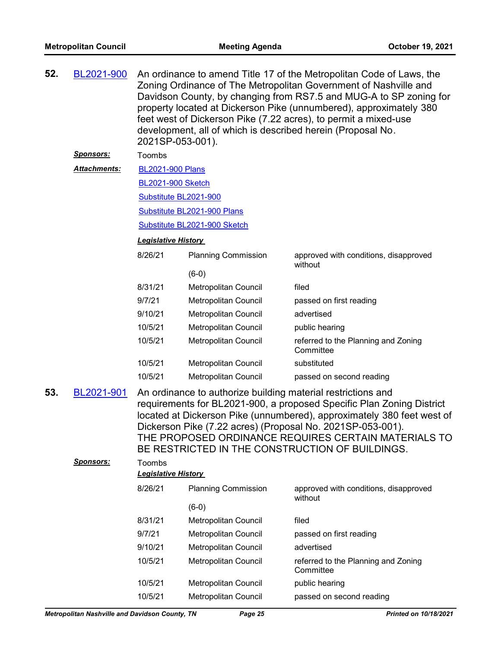| 52. | BL2021-900        | An ordinance to amend Title 17 of the Metropolitan Code of Laws, the<br>Zoning Ordinance of The Metropolitan Government of Nashville and<br>Davidson County, by changing from RS7.5 and MUG-A to SP zoning for<br>property located at Dickerson Pike (unnumbered), approximately 380<br>feet west of Dickerson Pike (7.22 acres), to permit a mixed-use<br>development, all of which is described herein (Proposal No.<br>2021SP-053-001). |                              |                                                                                                                                                                                                                                                                                                                                                                                          |  |  |  |
|-----|-------------------|--------------------------------------------------------------------------------------------------------------------------------------------------------------------------------------------------------------------------------------------------------------------------------------------------------------------------------------------------------------------------------------------------------------------------------------------|------------------------------|------------------------------------------------------------------------------------------------------------------------------------------------------------------------------------------------------------------------------------------------------------------------------------------------------------------------------------------------------------------------------------------|--|--|--|
|     | <u> Sponsors:</u> | Toombs                                                                                                                                                                                                                                                                                                                                                                                                                                     |                              |                                                                                                                                                                                                                                                                                                                                                                                          |  |  |  |
|     | Attachments:      | <b>BL2021-900 Plans</b>                                                                                                                                                                                                                                                                                                                                                                                                                    |                              |                                                                                                                                                                                                                                                                                                                                                                                          |  |  |  |
|     |                   | <b>BL2021-900 Sketch</b>                                                                                                                                                                                                                                                                                                                                                                                                                   |                              |                                                                                                                                                                                                                                                                                                                                                                                          |  |  |  |
|     |                   | Substitute BL2021-900                                                                                                                                                                                                                                                                                                                                                                                                                      |                              |                                                                                                                                                                                                                                                                                                                                                                                          |  |  |  |
|     |                   |                                                                                                                                                                                                                                                                                                                                                                                                                                            | Substitute BL2021-900 Plans  |                                                                                                                                                                                                                                                                                                                                                                                          |  |  |  |
|     |                   |                                                                                                                                                                                                                                                                                                                                                                                                                                            | Substitute BL2021-900 Sketch |                                                                                                                                                                                                                                                                                                                                                                                          |  |  |  |
|     |                   | <b>Legislative History</b>                                                                                                                                                                                                                                                                                                                                                                                                                 |                              |                                                                                                                                                                                                                                                                                                                                                                                          |  |  |  |
|     |                   | 8/26/21                                                                                                                                                                                                                                                                                                                                                                                                                                    | <b>Planning Commission</b>   | approved with conditions, disapproved<br>without                                                                                                                                                                                                                                                                                                                                         |  |  |  |
|     |                   |                                                                                                                                                                                                                                                                                                                                                                                                                                            | $(6-0)$                      |                                                                                                                                                                                                                                                                                                                                                                                          |  |  |  |
|     |                   | 8/31/21                                                                                                                                                                                                                                                                                                                                                                                                                                    | Metropolitan Council         | filed                                                                                                                                                                                                                                                                                                                                                                                    |  |  |  |
|     |                   | 9/7/21                                                                                                                                                                                                                                                                                                                                                                                                                                     | Metropolitan Council         | passed on first reading                                                                                                                                                                                                                                                                                                                                                                  |  |  |  |
|     |                   | 9/10/21                                                                                                                                                                                                                                                                                                                                                                                                                                    | Metropolitan Council         | advertised                                                                                                                                                                                                                                                                                                                                                                               |  |  |  |
|     |                   | 10/5/21                                                                                                                                                                                                                                                                                                                                                                                                                                    | Metropolitan Council         | public hearing                                                                                                                                                                                                                                                                                                                                                                           |  |  |  |
|     |                   | 10/5/21                                                                                                                                                                                                                                                                                                                                                                                                                                    | Metropolitan Council         | referred to the Planning and Zoning<br>Committee                                                                                                                                                                                                                                                                                                                                         |  |  |  |
|     |                   | 10/5/21                                                                                                                                                                                                                                                                                                                                                                                                                                    | Metropolitan Council         | substituted                                                                                                                                                                                                                                                                                                                                                                              |  |  |  |
|     |                   | 10/5/21                                                                                                                                                                                                                                                                                                                                                                                                                                    | Metropolitan Council         | passed on second reading                                                                                                                                                                                                                                                                                                                                                                 |  |  |  |
| 53. | BL2021-901        |                                                                                                                                                                                                                                                                                                                                                                                                                                            |                              | An ordinance to authorize building material restrictions and<br>requirements for BL2021-900, a proposed Specific Plan Zoning District<br>located at Dickerson Pike (unnumbered), approximately 380 feet west of<br>Dickerson Pike (7.22 acres) (Proposal No. 2021SP-053-001).<br>THE PROPOSED ORDINANCE REQUIRES CERTAIN MATERIALS TO<br>BE RESTRICTED IN THE CONSTRUCTION OF BUILDINGS. |  |  |  |
|     | <u>Sponsors:</u>  | Toombs                                                                                                                                                                                                                                                                                                                                                                                                                                     |                              |                                                                                                                                                                                                                                                                                                                                                                                          |  |  |  |
|     |                   | <b>Legislative History</b>                                                                                                                                                                                                                                                                                                                                                                                                                 |                              |                                                                                                                                                                                                                                                                                                                                                                                          |  |  |  |
|     |                   | 8/26/21                                                                                                                                                                                                                                                                                                                                                                                                                                    | <b>Planning Commission</b>   | approved with conditions, disapproved<br>without                                                                                                                                                                                                                                                                                                                                         |  |  |  |
|     |                   |                                                                                                                                                                                                                                                                                                                                                                                                                                            | $(6-0)$                      |                                                                                                                                                                                                                                                                                                                                                                                          |  |  |  |
|     |                   | 8/31/21                                                                                                                                                                                                                                                                                                                                                                                                                                    | Metropolitan Council         | filed                                                                                                                                                                                                                                                                                                                                                                                    |  |  |  |
|     |                   | 9/7/21                                                                                                                                                                                                                                                                                                                                                                                                                                     | <b>Metropolitan Council</b>  | passed on first reading                                                                                                                                                                                                                                                                                                                                                                  |  |  |  |
|     |                   | 9/10/21                                                                                                                                                                                                                                                                                                                                                                                                                                    | Metropolitan Council         | advertised                                                                                                                                                                                                                                                                                                                                                                               |  |  |  |
|     |                   | 10/5/21                                                                                                                                                                                                                                                                                                                                                                                                                                    | Metropolitan Council         | referred to the Planning and Zoning<br>Committee                                                                                                                                                                                                                                                                                                                                         |  |  |  |
|     |                   | 10/5/21                                                                                                                                                                                                                                                                                                                                                                                                                                    | Metropolitan Council         | public hearing                                                                                                                                                                                                                                                                                                                                                                           |  |  |  |
|     |                   | 10/5/21                                                                                                                                                                                                                                                                                                                                                                                                                                    | Metropolitan Council         | passed on second reading                                                                                                                                                                                                                                                                                                                                                                 |  |  |  |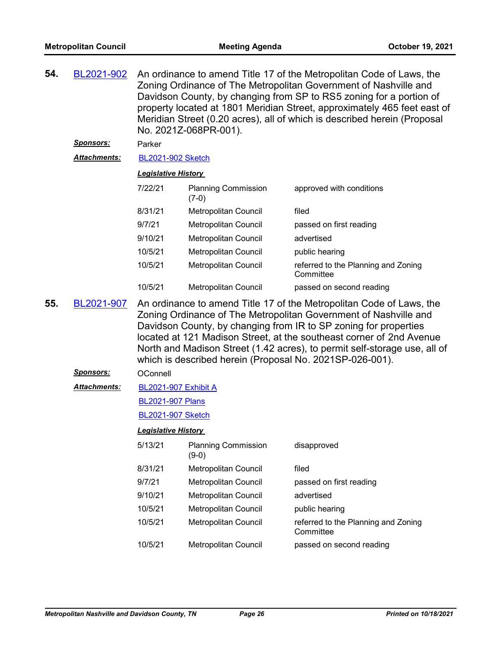| 54. | BL2021-902<br><u>Sponsors:</u><br>Attachments:                                                                                                                                                                                                                                                                                                                                                                                              | Parker                     | An ordinance to amend Title 17 of the Metropolitan Code of Laws, the<br>Zoning Ordinance of The Metropolitan Government of Nashville and<br>Davidson County, by changing from SP to RS5 zoning for a portion of<br>property located at 1801 Meridian Street, approximately 465 feet east of<br>Meridian Street (0.20 acres), all of which is described herein (Proposal<br>No. 2021Z-068PR-001).<br><b>BL2021-902 Sketch</b> |                                                  |  |
|-----|---------------------------------------------------------------------------------------------------------------------------------------------------------------------------------------------------------------------------------------------------------------------------------------------------------------------------------------------------------------------------------------------------------------------------------------------|----------------------------|------------------------------------------------------------------------------------------------------------------------------------------------------------------------------------------------------------------------------------------------------------------------------------------------------------------------------------------------------------------------------------------------------------------------------|--------------------------------------------------|--|
|     |                                                                                                                                                                                                                                                                                                                                                                                                                                             | <b>Legislative History</b> |                                                                                                                                                                                                                                                                                                                                                                                                                              |                                                  |  |
|     |                                                                                                                                                                                                                                                                                                                                                                                                                                             | 7/22/21                    | <b>Planning Commission</b><br>$(7-0)$                                                                                                                                                                                                                                                                                                                                                                                        | approved with conditions                         |  |
|     |                                                                                                                                                                                                                                                                                                                                                                                                                                             | 8/31/21                    | Metropolitan Council                                                                                                                                                                                                                                                                                                                                                                                                         | filed                                            |  |
|     |                                                                                                                                                                                                                                                                                                                                                                                                                                             | 9/7/21                     | Metropolitan Council                                                                                                                                                                                                                                                                                                                                                                                                         | passed on first reading                          |  |
|     |                                                                                                                                                                                                                                                                                                                                                                                                                                             | 9/10/21                    | Metropolitan Council                                                                                                                                                                                                                                                                                                                                                                                                         | advertised                                       |  |
|     |                                                                                                                                                                                                                                                                                                                                                                                                                                             | 10/5/21                    | Metropolitan Council                                                                                                                                                                                                                                                                                                                                                                                                         | public hearing                                   |  |
|     |                                                                                                                                                                                                                                                                                                                                                                                                                                             | 10/5/21                    | <b>Metropolitan Council</b>                                                                                                                                                                                                                                                                                                                                                                                                  | referred to the Planning and Zoning<br>Committee |  |
|     |                                                                                                                                                                                                                                                                                                                                                                                                                                             | 10/5/21                    | Metropolitan Council                                                                                                                                                                                                                                                                                                                                                                                                         | passed on second reading                         |  |
| 55. | An ordinance to amend Title 17 of the Metropolitan Code of Laws, the<br>BL2021-907<br>Zoning Ordinance of The Metropolitan Government of Nashville and<br>Davidson County, by changing from IR to SP zoning for properties<br>located at 121 Madison Street, at the southeast corner of 2nd Avenue<br>North and Madison Street (1.42 acres), to permit self-storage use, all of<br>which is described herein (Proposal No. 2021SP-026-001). |                            |                                                                                                                                                                                                                                                                                                                                                                                                                              |                                                  |  |
|     | <b>Sponsors:</b>                                                                                                                                                                                                                                                                                                                                                                                                                            | OConnell                   |                                                                                                                                                                                                                                                                                                                                                                                                                              |                                                  |  |
|     | <u> Attachments:</u>                                                                                                                                                                                                                                                                                                                                                                                                                        | BL2021-907 Exhibit A       |                                                                                                                                                                                                                                                                                                                                                                                                                              |                                                  |  |
|     |                                                                                                                                                                                                                                                                                                                                                                                                                                             | <b>BL2021-907 Plans</b>    |                                                                                                                                                                                                                                                                                                                                                                                                                              |                                                  |  |
|     |                                                                                                                                                                                                                                                                                                                                                                                                                                             | <b>BL2021-907 Sketch</b>   |                                                                                                                                                                                                                                                                                                                                                                                                                              |                                                  |  |
|     |                                                                                                                                                                                                                                                                                                                                                                                                                                             | <b>Legislative History</b> |                                                                                                                                                                                                                                                                                                                                                                                                                              |                                                  |  |
|     |                                                                                                                                                                                                                                                                                                                                                                                                                                             | 5/13/21                    | <b>Planning Commission</b><br>$(9-0)$                                                                                                                                                                                                                                                                                                                                                                                        | disapproved                                      |  |
|     |                                                                                                                                                                                                                                                                                                                                                                                                                                             | 8/31/21                    | Metropolitan Council                                                                                                                                                                                                                                                                                                                                                                                                         | filed                                            |  |
|     |                                                                                                                                                                                                                                                                                                                                                                                                                                             | 9/7/21                     | Metropolitan Council                                                                                                                                                                                                                                                                                                                                                                                                         | passed on first reading                          |  |
|     |                                                                                                                                                                                                                                                                                                                                                                                                                                             | 9/10/21                    | Metropolitan Council                                                                                                                                                                                                                                                                                                                                                                                                         | advertised                                       |  |
|     |                                                                                                                                                                                                                                                                                                                                                                                                                                             | 10/5/21                    | Metropolitan Council                                                                                                                                                                                                                                                                                                                                                                                                         | public hearing                                   |  |
|     |                                                                                                                                                                                                                                                                                                                                                                                                                                             | 10/5/21                    | Metropolitan Council                                                                                                                                                                                                                                                                                                                                                                                                         | referred to the Planning and Zoning<br>Committee |  |
|     |                                                                                                                                                                                                                                                                                                                                                                                                                                             | 10/5/21                    | Metropolitan Council                                                                                                                                                                                                                                                                                                                                                                                                         | passed on second reading                         |  |
|     |                                                                                                                                                                                                                                                                                                                                                                                                                                             |                            |                                                                                                                                                                                                                                                                                                                                                                                                                              |                                                  |  |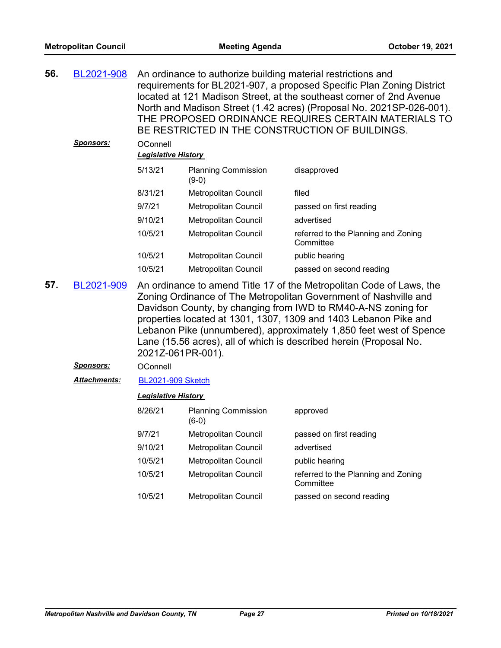| 56.<br>BL2021-908 |                  |                                        |                                                                                                                                                                                                                                                                                                                                                                                                                           | An ordinance to authorize building material restrictions and<br>requirements for BL2021-907, a proposed Specific Plan Zoning District<br>located at 121 Madison Street, at the southeast corner of 2nd Avenue<br>North and Madison Street (1.42 acres) (Proposal No. 2021SP-026-001).<br>THE PROPOSED ORDINANCE REQUIRES CERTAIN MATERIALS TO<br>BE RESTRICTED IN THE CONSTRUCTION OF BUILDINGS. |  |  |
|-------------------|------------------|----------------------------------------|---------------------------------------------------------------------------------------------------------------------------------------------------------------------------------------------------------------------------------------------------------------------------------------------------------------------------------------------------------------------------------------------------------------------------|--------------------------------------------------------------------------------------------------------------------------------------------------------------------------------------------------------------------------------------------------------------------------------------------------------------------------------------------------------------------------------------------------|--|--|
|                   | <u>Sponsors:</u> | OConnell<br><b>Legislative History</b> |                                                                                                                                                                                                                                                                                                                                                                                                                           |                                                                                                                                                                                                                                                                                                                                                                                                  |  |  |
|                   |                  | 5/13/21                                | <b>Planning Commission</b><br>$(9-0)$                                                                                                                                                                                                                                                                                                                                                                                     | disapproved                                                                                                                                                                                                                                                                                                                                                                                      |  |  |
|                   |                  | 8/31/21                                | Metropolitan Council                                                                                                                                                                                                                                                                                                                                                                                                      | filed                                                                                                                                                                                                                                                                                                                                                                                            |  |  |
|                   |                  | 9/7/21                                 | Metropolitan Council                                                                                                                                                                                                                                                                                                                                                                                                      | passed on first reading                                                                                                                                                                                                                                                                                                                                                                          |  |  |
|                   |                  | 9/10/21                                | Metropolitan Council                                                                                                                                                                                                                                                                                                                                                                                                      | advertised                                                                                                                                                                                                                                                                                                                                                                                       |  |  |
|                   |                  | 10/5/21                                | Metropolitan Council                                                                                                                                                                                                                                                                                                                                                                                                      | referred to the Planning and Zoning<br>Committee                                                                                                                                                                                                                                                                                                                                                 |  |  |
|                   |                  | 10/5/21                                | Metropolitan Council                                                                                                                                                                                                                                                                                                                                                                                                      | public hearing                                                                                                                                                                                                                                                                                                                                                                                   |  |  |
|                   |                  | 10/5/21                                | Metropolitan Council                                                                                                                                                                                                                                                                                                                                                                                                      | passed on second reading                                                                                                                                                                                                                                                                                                                                                                         |  |  |
| 57.               | BL2021-909       | 2021Z-061PR-001).                      | An ordinance to amend Title 17 of the Metropolitan Code of Laws, the<br>Zoning Ordinance of The Metropolitan Government of Nashville and<br>Davidson County, by changing from IWD to RM40-A-NS zoning for<br>properties located at 1301, 1307, 1309 and 1403 Lebanon Pike and<br>Lebanon Pike (unnumbered), approximately 1,850 feet west of Spence<br>Lane (15.56 acres), all of which is described herein (Proposal No. |                                                                                                                                                                                                                                                                                                                                                                                                  |  |  |
|                   | <b>Sponsors:</b> | OConnell                               |                                                                                                                                                                                                                                                                                                                                                                                                                           |                                                                                                                                                                                                                                                                                                                                                                                                  |  |  |
|                   | Attachments:     |                                        | <b>BL2021-909 Sketch</b>                                                                                                                                                                                                                                                                                                                                                                                                  |                                                                                                                                                                                                                                                                                                                                                                                                  |  |  |
|                   |                  | <b>Legislative History</b>             |                                                                                                                                                                                                                                                                                                                                                                                                                           |                                                                                                                                                                                                                                                                                                                                                                                                  |  |  |
|                   |                  | 8/26/21                                | <b>Planning Commission</b><br>$(6-0)$                                                                                                                                                                                                                                                                                                                                                                                     | approved                                                                                                                                                                                                                                                                                                                                                                                         |  |  |
|                   |                  | 9/7/21                                 | Metropolitan Council                                                                                                                                                                                                                                                                                                                                                                                                      | passed on first reading                                                                                                                                                                                                                                                                                                                                                                          |  |  |
|                   |                  | 9/10/21                                | Metropolitan Council                                                                                                                                                                                                                                                                                                                                                                                                      | advertised                                                                                                                                                                                                                                                                                                                                                                                       |  |  |
|                   |                  | 10/5/21                                | Metropolitan Council                                                                                                                                                                                                                                                                                                                                                                                                      | public hearing                                                                                                                                                                                                                                                                                                                                                                                   |  |  |
|                   |                  | 10/5/21                                | Metropolitan Council                                                                                                                                                                                                                                                                                                                                                                                                      | referred to the Planning and Zoning<br>Committee                                                                                                                                                                                                                                                                                                                                                 |  |  |
|                   |                  | 10/5/21                                | Metropolitan Council                                                                                                                                                                                                                                                                                                                                                                                                      | passed on second reading                                                                                                                                                                                                                                                                                                                                                                         |  |  |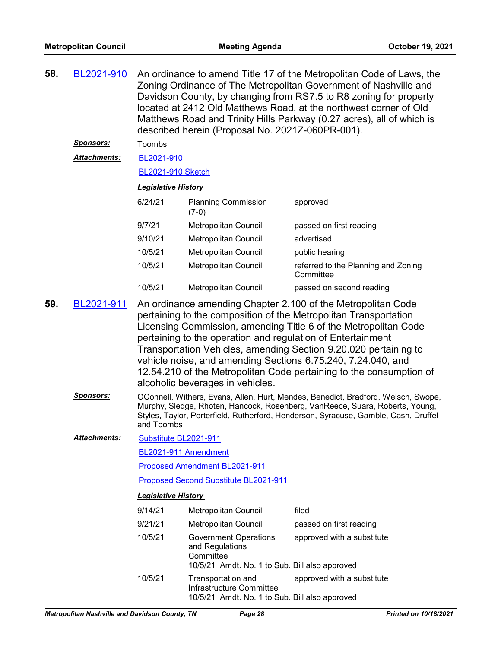| 58.<br>BL2021-910 |                     |                                                                                                                                                                                                                                                                                                                                                                                                                                                   | described herein (Proposal No. 2021Z-060PR-001).                                                               | An ordinance to amend Title 17 of the Metropolitan Code of Laws, the<br>Zoning Ordinance of The Metropolitan Government of Nashville and<br>Davidson County, by changing from RS7.5 to R8 zoning for property<br>located at 2412 Old Matthews Road, at the northwest corner of Old<br>Matthews Road and Trinity Hills Parkway (0.27 acres), all of which is |  |
|-------------------|---------------------|---------------------------------------------------------------------------------------------------------------------------------------------------------------------------------------------------------------------------------------------------------------------------------------------------------------------------------------------------------------------------------------------------------------------------------------------------|----------------------------------------------------------------------------------------------------------------|-------------------------------------------------------------------------------------------------------------------------------------------------------------------------------------------------------------------------------------------------------------------------------------------------------------------------------------------------------------|--|
|                   | <u>Sponsors:</u>    | Toombs                                                                                                                                                                                                                                                                                                                                                                                                                                            |                                                                                                                |                                                                                                                                                                                                                                                                                                                                                             |  |
|                   | <b>Attachments:</b> | BL2021-910                                                                                                                                                                                                                                                                                                                                                                                                                                        |                                                                                                                |                                                                                                                                                                                                                                                                                                                                                             |  |
|                   |                     | <b>BL2021-910 Sketch</b>                                                                                                                                                                                                                                                                                                                                                                                                                          |                                                                                                                |                                                                                                                                                                                                                                                                                                                                                             |  |
|                   |                     | <b>Legislative History</b>                                                                                                                                                                                                                                                                                                                                                                                                                        |                                                                                                                |                                                                                                                                                                                                                                                                                                                                                             |  |
|                   |                     | 6/24/21                                                                                                                                                                                                                                                                                                                                                                                                                                           | <b>Planning Commission</b><br>$(7-0)$                                                                          | approved                                                                                                                                                                                                                                                                                                                                                    |  |
|                   |                     | 9/7/21                                                                                                                                                                                                                                                                                                                                                                                                                                            | Metropolitan Council                                                                                           | passed on first reading                                                                                                                                                                                                                                                                                                                                     |  |
|                   |                     | 9/10/21                                                                                                                                                                                                                                                                                                                                                                                                                                           | Metropolitan Council                                                                                           | advertised                                                                                                                                                                                                                                                                                                                                                  |  |
|                   |                     | 10/5/21                                                                                                                                                                                                                                                                                                                                                                                                                                           | Metropolitan Council                                                                                           | public hearing                                                                                                                                                                                                                                                                                                                                              |  |
|                   |                     | 10/5/21                                                                                                                                                                                                                                                                                                                                                                                                                                           | Metropolitan Council                                                                                           | referred to the Planning and Zoning<br>Committee                                                                                                                                                                                                                                                                                                            |  |
|                   |                     | 10/5/21                                                                                                                                                                                                                                                                                                                                                                                                                                           | <b>Metropolitan Council</b>                                                                                    | passed on second reading                                                                                                                                                                                                                                                                                                                                    |  |
|                   | BL2021-911          | pertaining to the composition of the Metropolitan Transportation<br>Licensing Commission, amending Title 6 of the Metropolitan Code<br>pertaining to the operation and regulation of Entertainment<br>Transportation Vehicles, amending Section 9.20.020 pertaining to<br>vehicle noise, and amending Sections 6.75.240, 7.24.040, and<br>12.54.210 of the Metropolitan Code pertaining to the consumption of<br>alcoholic beverages in vehicles. |                                                                                                                |                                                                                                                                                                                                                                                                                                                                                             |  |
|                   | <u>Sponsors:</u>    | OConnell, Withers, Evans, Allen, Hurt, Mendes, Benedict, Bradford, Welsch, Swope,<br>Murphy, Sledge, Rhoten, Hancock, Rosenberg, VanReece, Suara, Roberts, Young,<br>Styles, Taylor, Porterfield, Rutherford, Henderson, Syracuse, Gamble, Cash, Druffel<br>and Toombs                                                                                                                                                                            |                                                                                                                |                                                                                                                                                                                                                                                                                                                                                             |  |
|                   | <b>Attachments:</b> | Substitute BL2021-911                                                                                                                                                                                                                                                                                                                                                                                                                             |                                                                                                                |                                                                                                                                                                                                                                                                                                                                                             |  |
|                   |                     | BL2021-911 Amendment                                                                                                                                                                                                                                                                                                                                                                                                                              |                                                                                                                |                                                                                                                                                                                                                                                                                                                                                             |  |
|                   |                     | Proposed Amendment BL2021-911                                                                                                                                                                                                                                                                                                                                                                                                                     |                                                                                                                |                                                                                                                                                                                                                                                                                                                                                             |  |
|                   |                     | Proposed Second Substitute BL2021-911                                                                                                                                                                                                                                                                                                                                                                                                             |                                                                                                                |                                                                                                                                                                                                                                                                                                                                                             |  |
|                   |                     | <b>Legislative History</b>                                                                                                                                                                                                                                                                                                                                                                                                                        |                                                                                                                |                                                                                                                                                                                                                                                                                                                                                             |  |
|                   |                     | 9/14/21                                                                                                                                                                                                                                                                                                                                                                                                                                           | Metropolitan Council                                                                                           | filed                                                                                                                                                                                                                                                                                                                                                       |  |
|                   |                     | 9/21/21                                                                                                                                                                                                                                                                                                                                                                                                                                           | Metropolitan Council                                                                                           | passed on first reading                                                                                                                                                                                                                                                                                                                                     |  |
|                   |                     | 10/5/21                                                                                                                                                                                                                                                                                                                                                                                                                                           | <b>Government Operations</b><br>and Regulations<br>Committee<br>10/5/21 Amdt. No. 1 to Sub. Bill also approved | approved with a substitute                                                                                                                                                                                                                                                                                                                                  |  |
|                   |                     | 10/5/21                                                                                                                                                                                                                                                                                                                                                                                                                                           | Transportation and<br>Infrastructure Committee<br>10/5/21 Amdt. No. 1 to Sub. Bill also approved               | approved with a substitute                                                                                                                                                                                                                                                                                                                                  |  |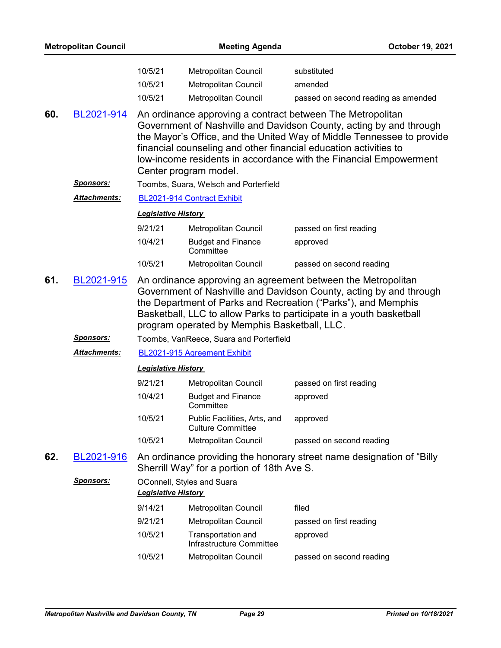| <b>Metropolitan Council</b> |                     |                                                                                                                                                                                                                                                                                                                                                                             | October 19, 2021                                                     |                                                               |  |  |  |
|-----------------------------|---------------------|-----------------------------------------------------------------------------------------------------------------------------------------------------------------------------------------------------------------------------------------------------------------------------------------------------------------------------------------------------------------------------|----------------------------------------------------------------------|---------------------------------------------------------------|--|--|--|
|                             |                     | 10/5/21<br>10/5/21<br>10/5/21                                                                                                                                                                                                                                                                                                                                               | Metropolitan Council<br>Metropolitan Council<br>Metropolitan Council | substituted<br>amended<br>passed on second reading as amended |  |  |  |
| 60.                         | BL2021-914          | An ordinance approving a contract between The Metropolitan<br>Government of Nashville and Davidson County, acting by and through<br>the Mayor's Office, and the United Way of Middle Tennessee to provide<br>financial counseling and other financial education activities to<br>low-income residents in accordance with the Financial Empowerment<br>Center program model. |                                                                      |                                                               |  |  |  |
|                             | <u>Sponsors:</u>    | Toombs, Suara, Welsch and Porterfield                                                                                                                                                                                                                                                                                                                                       |                                                                      |                                                               |  |  |  |
|                             | <b>Attachments:</b> | BL2021-914 Contract Exhibit                                                                                                                                                                                                                                                                                                                                                 |                                                                      |                                                               |  |  |  |
|                             |                     | <b>Legislative History</b>                                                                                                                                                                                                                                                                                                                                                  |                                                                      |                                                               |  |  |  |
|                             |                     | 9/21/21                                                                                                                                                                                                                                                                                                                                                                     | Metropolitan Council                                                 | passed on first reading                                       |  |  |  |
|                             |                     | 10/4/21                                                                                                                                                                                                                                                                                                                                                                     | <b>Budget and Finance</b><br>Committee                               | approved                                                      |  |  |  |
|                             |                     | 10/5/21                                                                                                                                                                                                                                                                                                                                                                     | Metropolitan Council                                                 | passed on second reading                                      |  |  |  |
| 61.                         | BL2021-915          | An ordinance approving an agreement between the Metropolitan<br>Government of Nashville and Davidson County, acting by and through<br>the Department of Parks and Recreation ("Parks"), and Memphis<br>Basketball, LLC to allow Parks to participate in a youth basketball<br>program operated by Memphis Basketball, LLC.                                                  |                                                                      |                                                               |  |  |  |
|                             | <u>Sponsors:</u>    | Toombs, VanReece, Suara and Porterfield                                                                                                                                                                                                                                                                                                                                     |                                                                      |                                                               |  |  |  |
|                             | <b>Attachments:</b> | BL2021-915 Agreement Exhibit                                                                                                                                                                                                                                                                                                                                                |                                                                      |                                                               |  |  |  |
|                             |                     | <b>Legislative History</b>                                                                                                                                                                                                                                                                                                                                                  |                                                                      |                                                               |  |  |  |
|                             |                     | 9/21/21                                                                                                                                                                                                                                                                                                                                                                     | Metropolitan Council                                                 | passed on first reading                                       |  |  |  |
|                             |                     | 10/4/21                                                                                                                                                                                                                                                                                                                                                                     | <b>Budget and Finance</b><br>Committee                               | approved                                                      |  |  |  |
|                             |                     | 10/5/21                                                                                                                                                                                                                                                                                                                                                                     | Public Facilities, Arts, and<br><b>Culture Committee</b>             | approved                                                      |  |  |  |
|                             |                     | 10/5/21                                                                                                                                                                                                                                                                                                                                                                     | <b>Metropolitan Council</b>                                          | passed on second reading                                      |  |  |  |
| 62.                         | BL2021-916          | An ordinance providing the honorary street name designation of "Billy"<br>Sherrill Way" for a portion of 18th Ave S.                                                                                                                                                                                                                                                        |                                                                      |                                                               |  |  |  |
|                             | <u>Sponsors:</u>    | OConnell, Styles and Suara<br><b>Legislative History</b>                                                                                                                                                                                                                                                                                                                    |                                                                      |                                                               |  |  |  |
|                             |                     | 9/14/21                                                                                                                                                                                                                                                                                                                                                                     | Metropolitan Council                                                 | filed                                                         |  |  |  |
|                             |                     | 9/21/21                                                                                                                                                                                                                                                                                                                                                                     | Metropolitan Council                                                 | passed on first reading                                       |  |  |  |
|                             |                     | 10/5/21                                                                                                                                                                                                                                                                                                                                                                     | Transportation and<br>Infrastructure Committee                       | approved                                                      |  |  |  |
|                             |                     | 10/5/21                                                                                                                                                                                                                                                                                                                                                                     | Metropolitan Council                                                 | passed on second reading                                      |  |  |  |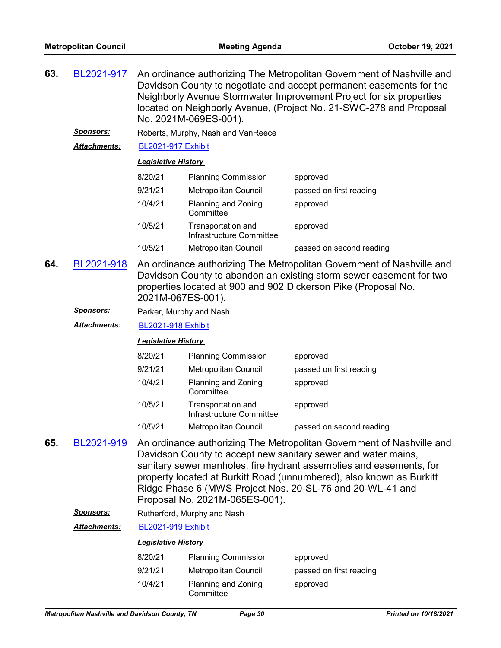| 63. | BL2021-917                                                                                                                                                                                                                                                                                       | An ordinance authorizing The Metropolitan Government of Nashville and<br>Davidson County to negotiate and accept permanent easements for the<br>Neighborly Avenue Stormwater Improvement Project for six properties<br>located on Neighborly Avenue, (Project No. 21-SWC-278 and Proposal<br>No. 2021M-069ES-001).                                                                   |                                                |                          |  |  |  |
|-----|--------------------------------------------------------------------------------------------------------------------------------------------------------------------------------------------------------------------------------------------------------------------------------------------------|--------------------------------------------------------------------------------------------------------------------------------------------------------------------------------------------------------------------------------------------------------------------------------------------------------------------------------------------------------------------------------------|------------------------------------------------|--------------------------|--|--|--|
|     | <u>Sponsors:</u>                                                                                                                                                                                                                                                                                 |                                                                                                                                                                                                                                                                                                                                                                                      | Roberts, Murphy, Nash and VanReece             |                          |  |  |  |
|     | Attachments:                                                                                                                                                                                                                                                                                     | <b>BL2021-917 Exhibit</b>                                                                                                                                                                                                                                                                                                                                                            |                                                |                          |  |  |  |
|     |                                                                                                                                                                                                                                                                                                  | <b>Legislative History</b>                                                                                                                                                                                                                                                                                                                                                           |                                                |                          |  |  |  |
|     |                                                                                                                                                                                                                                                                                                  | 8/20/21                                                                                                                                                                                                                                                                                                                                                                              | <b>Planning Commission</b>                     | approved                 |  |  |  |
|     |                                                                                                                                                                                                                                                                                                  | 9/21/21                                                                                                                                                                                                                                                                                                                                                                              | <b>Metropolitan Council</b>                    | passed on first reading  |  |  |  |
|     |                                                                                                                                                                                                                                                                                                  | 10/4/21                                                                                                                                                                                                                                                                                                                                                                              | Planning and Zoning<br>Committee               | approved                 |  |  |  |
|     |                                                                                                                                                                                                                                                                                                  | 10/5/21                                                                                                                                                                                                                                                                                                                                                                              | Transportation and<br>Infrastructure Committee | approved                 |  |  |  |
|     |                                                                                                                                                                                                                                                                                                  | 10/5/21                                                                                                                                                                                                                                                                                                                                                                              | Metropolitan Council                           | passed on second reading |  |  |  |
| 64. | An ordinance authorizing The Metropolitan Government of Nashville and<br>BL2021-918<br>Davidson County to abandon an existing storm sewer easement for two<br>properties located at 900 and 902 Dickerson Pike (Proposal No.<br>2021M-067ES-001).<br><u>Sponsors:</u><br>Parker, Murphy and Nash |                                                                                                                                                                                                                                                                                                                                                                                      |                                                |                          |  |  |  |
|     |                                                                                                                                                                                                                                                                                                  |                                                                                                                                                                                                                                                                                                                                                                                      |                                                |                          |  |  |  |
|     | Attachments:                                                                                                                                                                                                                                                                                     |                                                                                                                                                                                                                                                                                                                                                                                      |                                                |                          |  |  |  |
|     |                                                                                                                                                                                                                                                                                                  | <b>Legislative History</b>                                                                                                                                                                                                                                                                                                                                                           |                                                |                          |  |  |  |
|     |                                                                                                                                                                                                                                                                                                  | 8/20/21                                                                                                                                                                                                                                                                                                                                                                              | <b>Planning Commission</b>                     | approved                 |  |  |  |
|     |                                                                                                                                                                                                                                                                                                  | 9/21/21                                                                                                                                                                                                                                                                                                                                                                              | Metropolitan Council                           | passed on first reading  |  |  |  |
|     |                                                                                                                                                                                                                                                                                                  | 10/4/21                                                                                                                                                                                                                                                                                                                                                                              | Planning and Zoning<br>Committee               | approved                 |  |  |  |
|     |                                                                                                                                                                                                                                                                                                  | 10/5/21                                                                                                                                                                                                                                                                                                                                                                              | Transportation and<br>Infrastructure Committee | approved                 |  |  |  |
|     |                                                                                                                                                                                                                                                                                                  | 10/5/21                                                                                                                                                                                                                                                                                                                                                                              | Metropolitan Council                           | passed on second reading |  |  |  |
| 65. | BL2021-919                                                                                                                                                                                                                                                                                       | An ordinance authorizing The Metropolitan Government of Nashville and<br>Davidson County to accept new sanitary sewer and water mains,<br>sanitary sewer manholes, fire hydrant assemblies and easements, for<br>property located at Burkitt Road (unnumbered), also known as Burkitt<br>Ridge Phase 6 (MWS Project Nos. 20-SL-76 and 20-WL-41 and<br>Proposal No. 2021M-065ES-001). |                                                |                          |  |  |  |
|     | <u>Sponsors:</u>                                                                                                                                                                                                                                                                                 |                                                                                                                                                                                                                                                                                                                                                                                      | Rutherford, Murphy and Nash                    |                          |  |  |  |
|     | Attachments:                                                                                                                                                                                                                                                                                     | <b>BL2021-919 Exhibit</b>                                                                                                                                                                                                                                                                                                                                                            |                                                |                          |  |  |  |
|     | <b>Legislative History</b>                                                                                                                                                                                                                                                                       |                                                                                                                                                                                                                                                                                                                                                                                      |                                                |                          |  |  |  |
|     |                                                                                                                                                                                                                                                                                                  | 8/20/21                                                                                                                                                                                                                                                                                                                                                                              | <b>Planning Commission</b>                     | approved                 |  |  |  |
|     |                                                                                                                                                                                                                                                                                                  | 9/21/21                                                                                                                                                                                                                                                                                                                                                                              | Metropolitan Council                           | passed on first reading  |  |  |  |

approved

10/4/21 Planning and Zoning **Committee**